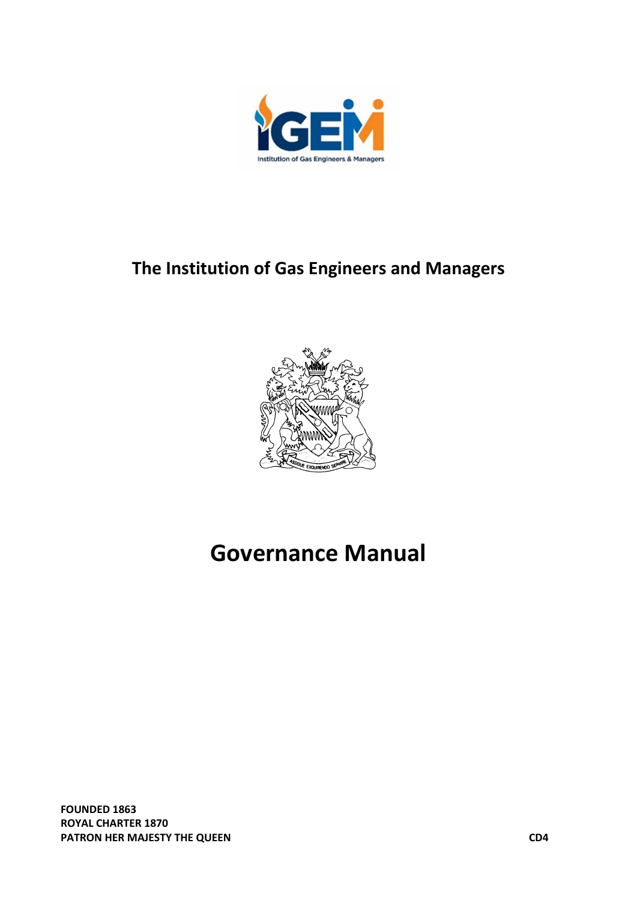

# **The Institution of Gas Engineers and Managers**



# **Governance Manual**

**FOUNDED 1863 ROYAL CHARTER 1870 PATRON HER MAJESTY THE QUEEN COMPUTER ASSESSMENT OF A SET OF A SET OF A SET OF A SET OF A SET OF A SET OF A SET OF A SET OF A SET OF A SET OF A SET OF A SET OF A SET OF A SET OF A SET OF A SET OF A SET OF A SET OF A SET O**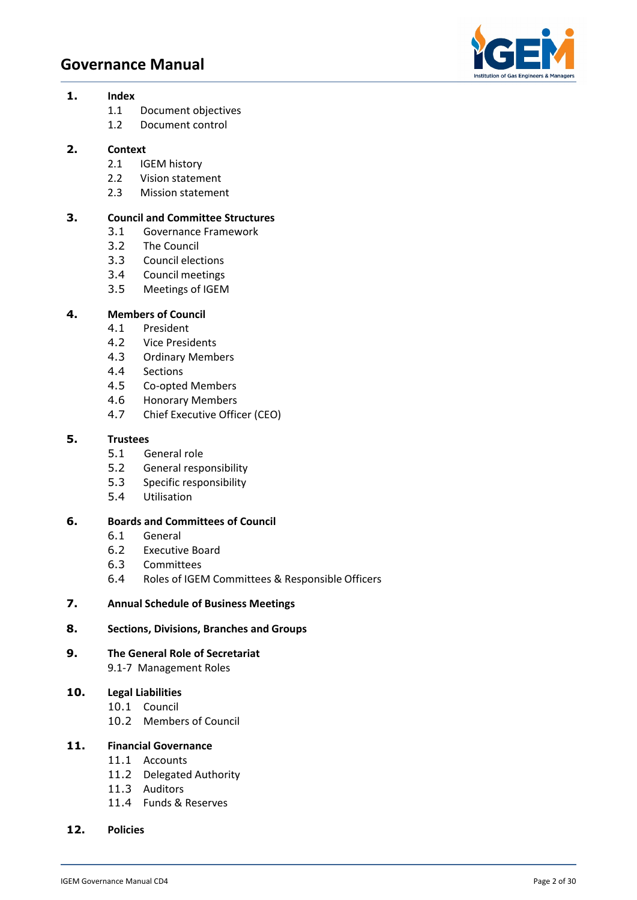

#### **1. Index**

- 1.1 Document objectives
- 1.2 Document control

# **2. Context**

- 2.1 IGEM history
- 2.2 Vision statement
- 2.3 Mission statement

# **3. Council and Committee Structures**

- 3.1 Governance Framework
- 3.2 The Council
- 3.3 Council elections
- 3.4 Council meetings
- 3.5 Meetings of IGEM

#### **4. Members of Council**

- 4.1 President
- 4.2 Vice Presidents
- 4.3 Ordinary Members
- 4.4 Sections
- 4.5 Co-opted Members
- 4.6 Honorary Members
- 4.7 Chief Executive Officer (CEO)

#### **5. Trustees**

- 5.1 General role
- 5.2 General responsibility
- 5.3 Specific responsibility
- 5.4 Utilisation

# **6. Boards and Committees of Council**

- 6.1 General
- 6.2 Executive Board
- 6.3 Committees
- 6.4 Roles of IGEM Committees & Responsible Officers

#### **7. Annual Schedule of Business Meetings**

#### **8. Sections, Divisions, Branches and Groups**

**9. The General Role of Secretariat** 9.1-7 Management Roles

# **10. Legal Liabilities**

- 10.1 Council
- 10.2 Members of Council

### **11. Financial Governance**

- 11.1 Accounts
- 11.2 Delegated Authority
- 11.3 Auditors
- 11.4 Funds & Reserves
- **12. Policies**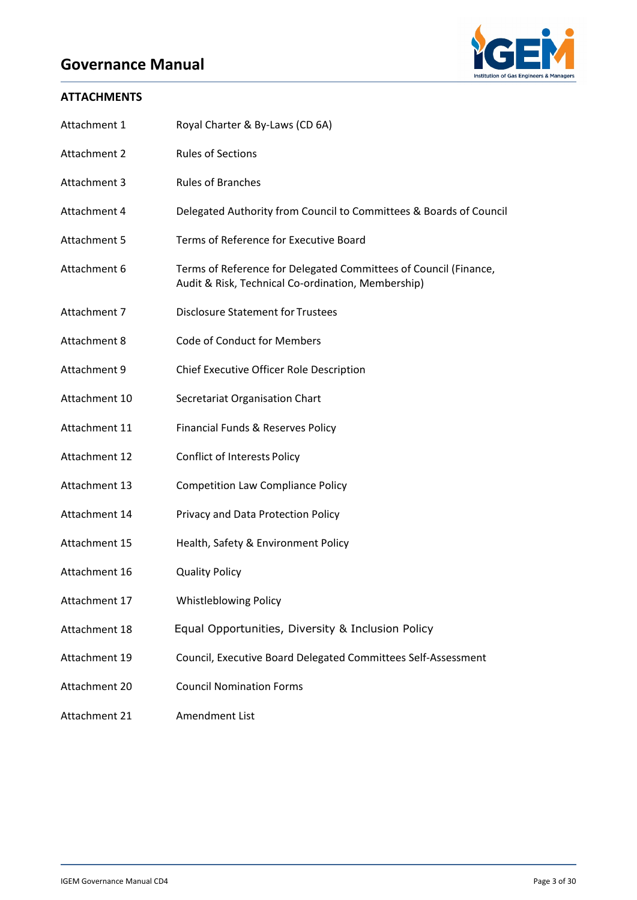

# **ATTACHMENTS**

| Attachment 1  | Royal Charter & By-Laws (CD 6A)                                                                                        |  |  |
|---------------|------------------------------------------------------------------------------------------------------------------------|--|--|
| Attachment 2  | <b>Rules of Sections</b>                                                                                               |  |  |
| Attachment 3  | <b>Rules of Branches</b>                                                                                               |  |  |
| Attachment 4  | Delegated Authority from Council to Committees & Boards of Council                                                     |  |  |
| Attachment 5  | Terms of Reference for Executive Board                                                                                 |  |  |
| Attachment 6  | Terms of Reference for Delegated Committees of Council (Finance,<br>Audit & Risk, Technical Co-ordination, Membership) |  |  |
| Attachment 7  | <b>Disclosure Statement for Trustees</b>                                                                               |  |  |
| Attachment 8  | Code of Conduct for Members                                                                                            |  |  |
| Attachment 9  | Chief Executive Officer Role Description                                                                               |  |  |
| Attachment 10 | Secretariat Organisation Chart                                                                                         |  |  |
| Attachment 11 | Financial Funds & Reserves Policy                                                                                      |  |  |
| Attachment 12 | <b>Conflict of Interests Policy</b>                                                                                    |  |  |
| Attachment 13 | <b>Competition Law Compliance Policy</b>                                                                               |  |  |
| Attachment 14 | Privacy and Data Protection Policy                                                                                     |  |  |
| Attachment 15 | Health, Safety & Environment Policy                                                                                    |  |  |
| Attachment 16 | <b>Quality Policy</b>                                                                                                  |  |  |
| Attachment 17 | <b>Whistleblowing Policy</b>                                                                                           |  |  |
| Attachment 18 | Equal Opportunities, Diversity & Inclusion Policy                                                                      |  |  |
| Attachment 19 | Council, Executive Board Delegated Committees Self-Assessment                                                          |  |  |
| Attachment 20 | <b>Council Nomination Forms</b>                                                                                        |  |  |
| Attachment 21 | Amendment List                                                                                                         |  |  |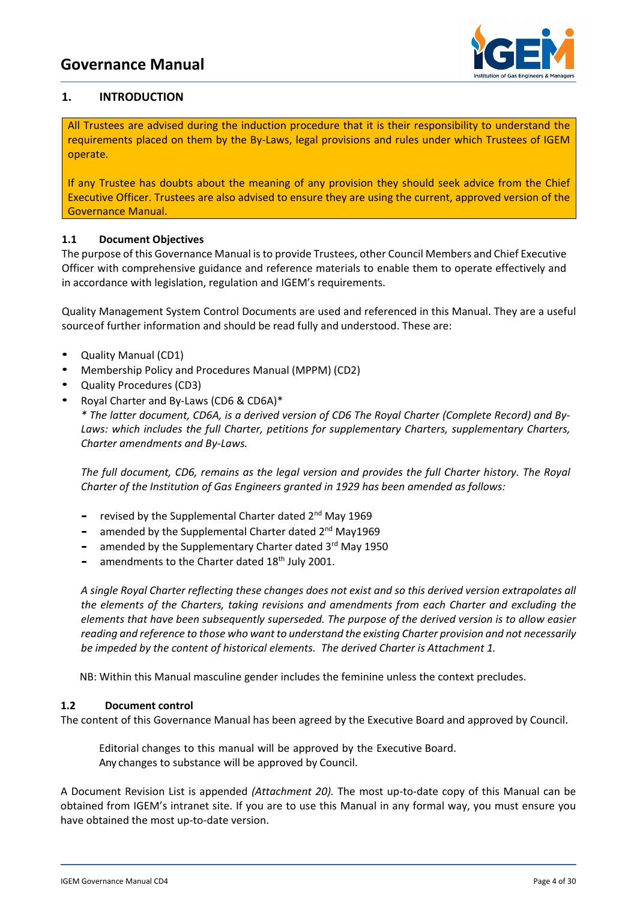

# **1. INTRODUCTION**

All Trustees are advised during the induction procedure that it is their responsibility to understand the requirements placed on them by the By-Laws, legal provisions and rules under which Trustees of IGEM operate.

If any Trustee has doubts about the meaning of any provision they should seek advice from the Chief Executive Officer. Trustees are also advised to ensure they are using the current, approved version of the Governance Manual.

# **1.1 Document Objectives**

The purpose of this Governance Manual is to provide Trustees, other Council Members and Chief Executive Officer with comprehensive guidance and reference materials to enable them to operate effectively and in accordance with legislation, regulation and IGEM's requirements.

Quality Management System Control Documents are used and referenced in this Manual. They are a useful sourceof further information and should be read fully and understood. These are:

- Quality Manual (CD1)
- Membership Policy and Procedures Manual (MPPM) (CD2)
- Quality Procedures (CD3)
- Royal Charter and By-Laws (CD6 & CD6A)\*

*\* The latter document, CD6A, is a derived version of CD6 The Royal Charter (Complete Record) and By-Laws: which includes the full Charter, petitions for supplementary Charters, supplementary Charters, Charter amendments and By-Laws.* 

*The full document, CD6, remains as the legal version and provides the full Charter history. The Royal Charter of the Institution of Gas Engineers granted in 1929 has been amended as follows:*

- **-** revised by the Supplemental Charter dated 2nd May 1969
- amended by the Supplemental Charter dated 2<sup>nd</sup> May1969
- **-** amended by the Supplementary Charter dated 3rd May 1950
- amendments to the Charter dated 18<sup>th</sup> July 2001.

*A single Royal Charter reflecting these changes does not exist and so this derived version extrapolates all the elements of the Charters, taking revisions and amendments from each Charter and excluding the elements that have been subsequently superseded. The purpose of the derived version is to allow easier reading and reference to those who want to understand the existing Charter provision and not necessarily be impeded by the content of historical elements. The derived Charter is Attachment 1.*

NB: Within this Manual masculine gender includes the feminine unless the context precludes.

#### **1.2 Document control**

The content of this Governance Manual has been agreed by the Executive Board and approved by Council.

Editorial changes to this manual will be approved by the Executive Board. Any changes to substance will be approved by Council.

A Document Revision List is appended *(Attachment 20).* The most up-to-date copy of this Manual can be obtained from IGEM's intranet site. If you are to use this Manual in any formal way, you must ensure you have obtained the most up-to-date version.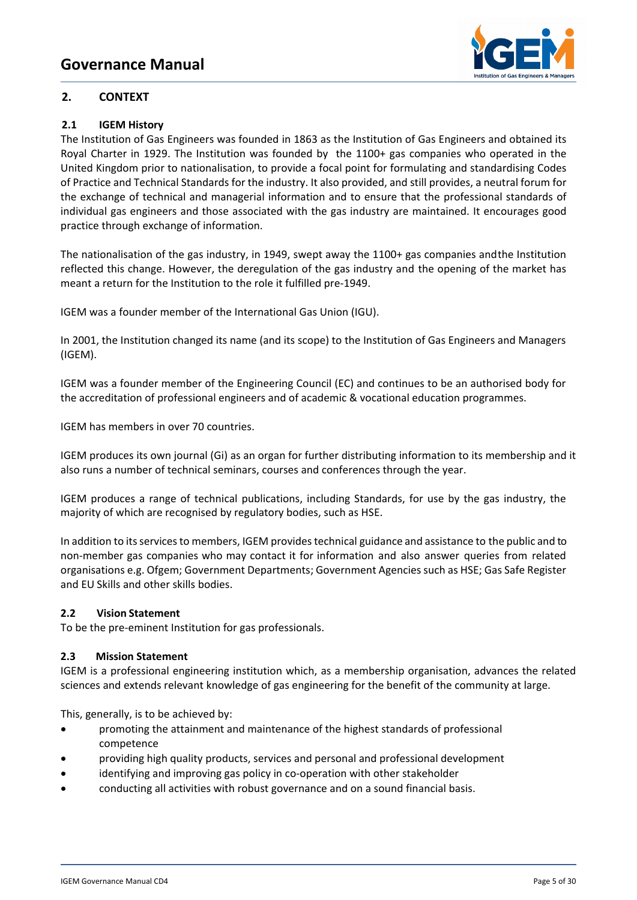

# **2. CONTEXT**

# **2.1 IGEM History**

The Institution of Gas Engineers was founded in 1863 as the Institution of Gas Engineers and obtained its Royal Charter in 1929. The Institution was founded by the 1100+ gas companies who operated in the United Kingdom prior to nationalisation, to provide a focal point for formulating and standardising Codes of Practice and Technical Standards for the industry. It also provided, and still provides, a neutral forum for the exchange of technical and managerial information and to ensure that the professional standards of individual gas engineers and those associated with the gas industry are maintained. It encourages good practice through exchange of information.

The nationalisation of the gas industry, in 1949, swept away the 1100+ gas companies andthe Institution reflected this change. However, the deregulation of the gas industry and the opening of the market has meant a return for the Institution to the role it fulfilled pre-1949.

IGEM was a founder member of the International Gas Union (IGU).

In 2001, the Institution changed its name (and its scope) to the Institution of Gas Engineers and Managers (IGEM).

IGEM was a founder member of the Engineering Council (EC) and continues to be an authorised body for the accreditation of professional engineers and of academic & vocational education programmes.

IGEM has members in over 70 countries.

IGEM produces its own journal (Gi) as an organ for further distributing information to its membership and it also runs a number of technical seminars, courses and conferences through the year.

IGEM produces a range of technical publications, including Standards, for use by the gas industry, the majority of which are recognised by regulatory bodies, such as HSE.

In addition to its services to members, IGEM provides technical guidance and assistance to the public and to non-member gas companies who may contact it for information and also answer queries from related organisations e.g. Ofgem; Government Departments; Government Agencies such as HSE; Gas Safe Register and EU Skills and other skills bodies.

# **2.2 Vision Statement**

To be the pre-eminent Institution for gas professionals.

# **2.3 Mission Statement**

IGEM is a professional engineering institution which, as a membership organisation, advances the related sciences and extends relevant knowledge of gas engineering for the benefit of the community at large.

This, generally, is to be achieved by:

- promoting the attainment and maintenance of the highest standards of professional competence
- providing high quality products, services and personal and professional development
- identifying and improving gas policy in co-operation with other stakeholder
- conducting all activities with robust governance and on a sound financial basis.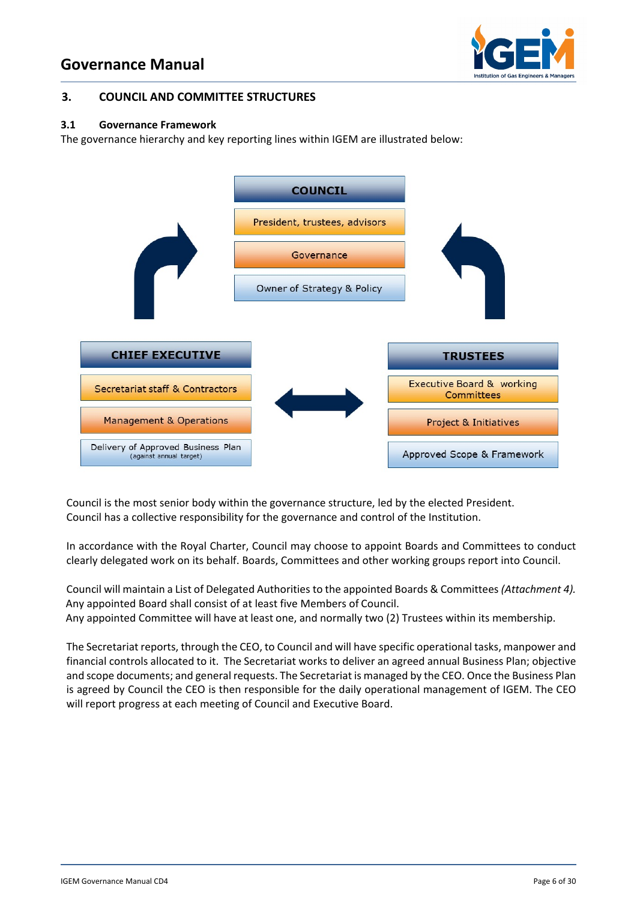

#### **3. COUNCIL AND COMMITTEE STRUCTURES**

#### **3.1 Governance Framework**

The governance hierarchy and key reporting lines within IGEM are illustrated below:



Council is the most senior body within the governance structure, led by the elected President. Council has a collective responsibility for the governance and control of the Institution.

In accordance with the Royal Charter, Council may choose to appoint Boards and Committees to conduct clearly delegated work on its behalf. Boards, Committees and other working groups report into Council.

Council will maintain a List of Delegated Authorities to the appointed Boards & Committees *(Attachment 4).* Any appointed Board shall consist of at least five Members of Council.

Any appointed Committee will have at least one, and normally two (2) Trustees within its membership.

The Secretariat reports, through the CEO, to Council and will have specific operational tasks, manpower and financial controls allocated to it. The Secretariat works to deliver an agreed annual Business Plan; objective and scope documents; and general requests. The Secretariat is managed by the CEO. Once the Business Plan is agreed by Council the CEO is then responsible for the daily operational management of IGEM. The CEO will report progress at each meeting of Council and Executive Board.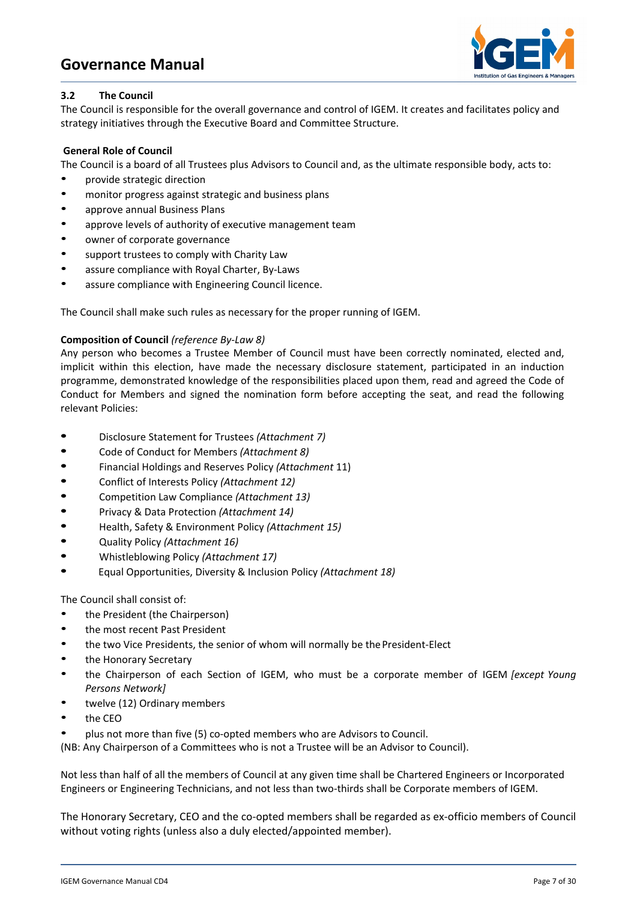

### **3.2 The Council**

The Council is responsible for the overall governance and control of IGEM. It creates and facilitates policy and strategy initiatives through the Executive Board and Committee Structure.

#### **General Role of Council**

The Council is a board of all Trustees plus Advisors to Council and, as the ultimate responsible body, acts to:

- provide strategic direction
- monitor progress against strategic and business plans
- approve annual Business Plans
- approve levels of authority of executive management team
- owner of corporate governance
- support trustees to comply with Charity Law
- assure compliance with Royal Charter, By-Laws
- assure compliance with Engineering Council licence.

The Council shall make such rules as necessary for the proper running of IGEM.

#### **Composition of Council** *(reference By-Law 8)*

Any person who becomes a Trustee Member of Council must have been correctly nominated, elected and, implicit within this election, have made the necessary disclosure statement, participated in an induction programme, demonstrated knowledge of the responsibilities placed upon them, read and agreed the Code of Conduct for Members and signed the nomination form before accepting the seat, and read the following relevant Policies:

- **•** Disclosure Statement for Trustees *(Attachment 7)*
- **•** Code of Conduct for Members *(Attachment 8)*
- **•** Financial Holdings and Reserves Policy *(Attachment* 11)
- **•** Conflict of Interests Policy *(Attachment 12)*
- **•** Competition Law Compliance *(Attachment 13)*
- **•** Privacy & Data Protection *(Attachment 14)*
- **•** Health, Safety & Environment Policy *(Attachment 15)*
- **•** Quality Policy *(Attachment 16)*
- **•** Whistleblowing Policy *(Attachment 17)*
- **•** Equal Opportunities, Diversity & Inclusion Policy *(Attachment 18)*

The Council shall consist of:

- the President (the Chairperson)
- the most recent Past President
- the two Vice Presidents, the senior of whom will normally be the President-Elect
- the Honorary Secretary
- the Chairperson of each Section of IGEM, who must be <sup>a</sup> corporate member of IGEM *[except Young Persons Network]*
- twelve (12) Ordinary members
- the CEO
- plus not more than five (5) co-opted members who are Advisors to Council.

(NB: Any Chairperson of a Committees who is not a Trustee will be an Advisor to Council).

Not less than half of all the members of Council at any given time shall be Chartered Engineers or Incorporated Engineers or Engineering Technicians, and not less than two-thirds shall be Corporate members of IGEM.

The Honorary Secretary, CEO and the co-opted members shall be regarded as ex-officio members of Council without voting rights (unless also a duly elected/appointed member).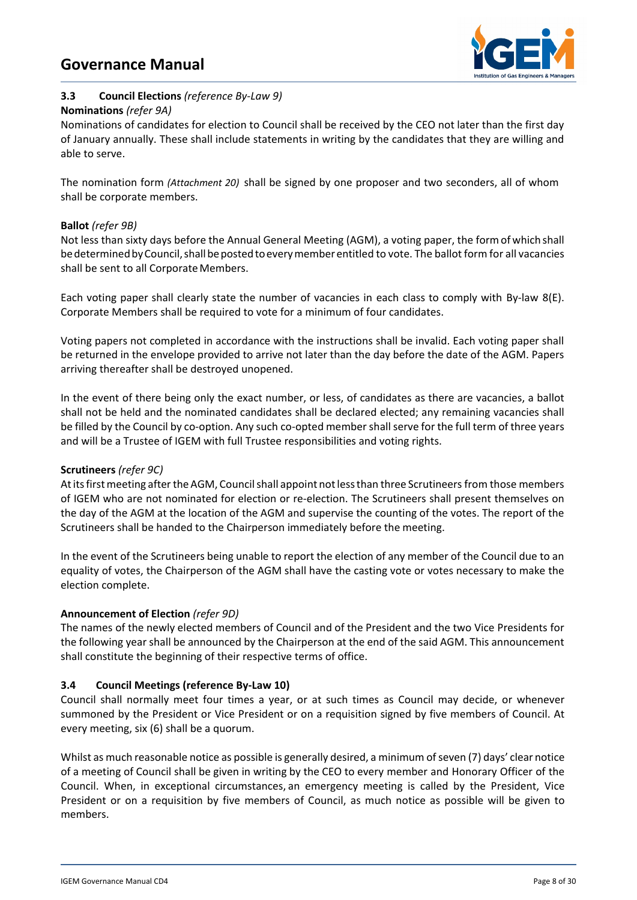

# **3.3 Council Elections** *(reference By-Law 9)*

#### **Nominations** *(refer 9A)*

Nominations of candidates for election to Council shall be received by the CEO not later than the first day of January annually. These shall include statements in writing by the candidates that they are willing and able to serve.

The nomination form *(Attachment 20)* shall be signed by one proposer and two seconders, all of whom shall be corporate members.

# **Ballot** *(refer 9B)*

Not less than sixty days before the Annual General Meeting (AGM), a voting paper, the formof which shall be determined by Council, shall be posted to every member entitled to vote. The ballot form for all vacancies shall be sent to all Corporate Members.

Each voting paper shall clearly state the number of vacancies in each class to comply with By-law 8(E). Corporate Members shall be required to vote for a minimum of four candidates.

Voting papers not completed in accordance with the instructions shall be invalid. Each voting paper shall be returned in the envelope provided to arrive not later than the day before the date of the AGM. Papers arriving thereafter shall be destroyed unopened.

In the event of there being only the exact number, or less, of candidates as there are vacancies, a ballot shall not be held and the nominated candidates shall be declared elected; any remaining vacancies shall be filled by the Council by co-option. Any such co-opted member shall serve for the full term of three years and will be a Trustee of IGEM with full Trustee responsibilities and voting rights.

# **Scrutineers** *(refer 9C)*

At its first meeting after the AGM, Council shall appoint not less than three Scrutineers from those members of IGEM who are not nominated for election or re-election. The Scrutineers shall present themselves on the day of the AGM at the location of the AGM and supervise the counting of the votes. The report of the Scrutineers shall be handed to the Chairperson immediately before the meeting.

In the event of the Scrutineers being unable to report the election of any member of the Council due to an equality of votes, the Chairperson of the AGM shall have the casting vote or votes necessary to make the election complete.

# **Announcement of Election** *(refer 9D)*

The names of the newly elected members of Council and of the President and the two Vice Presidents for the following year shall be announced by the Chairperson at the end of the said AGM. This announcement shall constitute the beginning of their respective terms of office.

# **3.4 Council Meetings (reference By-Law 10)**

Council shall normally meet four times a year, or at such times as Council may decide, or whenever summoned by the President or Vice President or on a requisition signed by five members of Council. At every meeting, six (6) shall be a quorum.

Whilst as much reasonable notice as possible is generally desired, a minimum of seven (7) days' clear notice of a meeting of Council shall be given in writing by the CEO to every member and Honorary Officer of the Council. When, in exceptional circumstances, an emergency meeting is called by the President, Vice President or on a requisition by five members of Council, as much notice as possible will be given to members.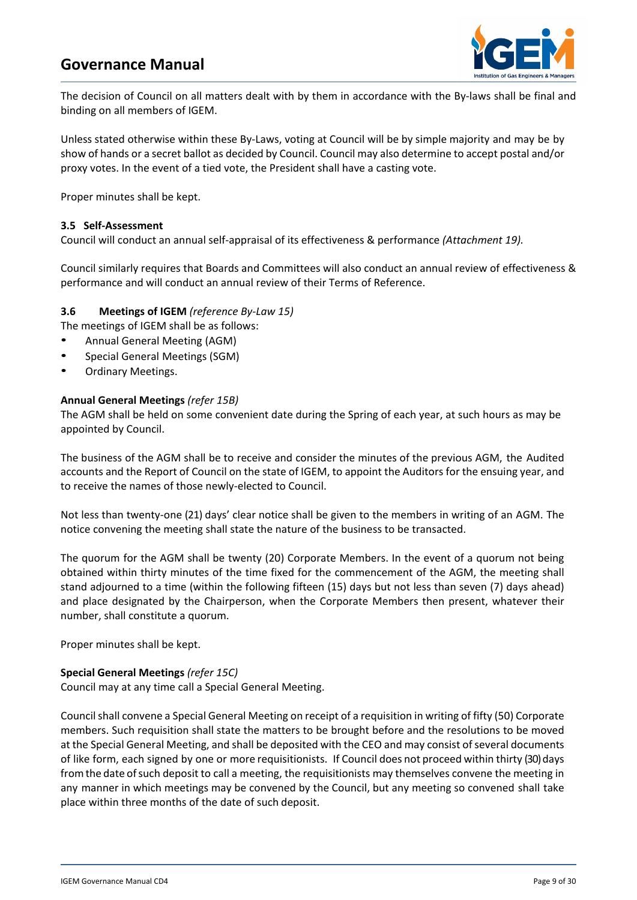

The decision of Council on all matters dealt with by them in accordance with the By-laws shall be final and binding on all members of IGEM.

Unless stated otherwise within these By-Laws, voting at Council will be by simple majority and may be by show of hands or a secret ballot as decided by Council. Council may also determine to accept postal and/or proxy votes. In the event of a tied vote, the President shall have a casting vote.

Proper minutes shall be kept.

#### **3.5 Self-Assessment**

Council will conduct an annual self-appraisal of its effectiveness & performance *(Attachment 19).*

Council similarly requires that Boards and Committees will also conduct an annual review of effectiveness & performance and will conduct an annual review of their Terms of Reference.

#### **3.6 Meetings of IGEM** *(reference By-Law 15)*

The meetings of IGEM shall be as follows:

- Annual General Meeting (AGM)
- Special General Meetings (SGM)
- Ordinary Meetings.

#### **Annual General Meetings** *(refer 15B)*

The AGM shall be held on some convenient date during the Spring of each year, at such hours as may be appointed by Council.

The business of the AGM shall be to receive and consider the minutes of the previous AGM, the Audited accounts and the Report of Council on the state of IGEM, to appoint the Auditors for the ensuing year, and to receive the names of those newly-elected to Council.

Not less than twenty-one (21) days' clear notice shall be given to the members in writing of an AGM. The notice convening the meeting shall state the nature of the business to be transacted.

The quorum for the AGM shall be twenty (20) Corporate Members. In the event of a quorum not being obtained within thirty minutes of the time fixed for the commencement of the AGM, the meeting shall stand adjourned to a time (within the following fifteen (15) days but not less than seven (7) days ahead) and place designated by the Chairperson, when the Corporate Members then present, whatever their number, shall constitute a quorum.

Proper minutes shall be kept.

#### **Special General Meetings** *(refer 15C)*

Council may at any time call a Special General Meeting.

Council shall convene a Special General Meeting on receipt of a requisition in writing of fifty (50) Corporate members. Such requisition shall state the matters to be brought before and the resolutions to be moved at the Special General Meeting, and shall be deposited with the CEO and may consist of several documents of like form, each signed by one or more requisitionists. If Council does not proceed within thirty (30) days fromthe date ofsuch deposit to call a meeting, the requisitionists may themselves convene the meeting in any manner in which meetings may be convened by the Council, but any meeting so convened shall take place within three months of the date of such deposit.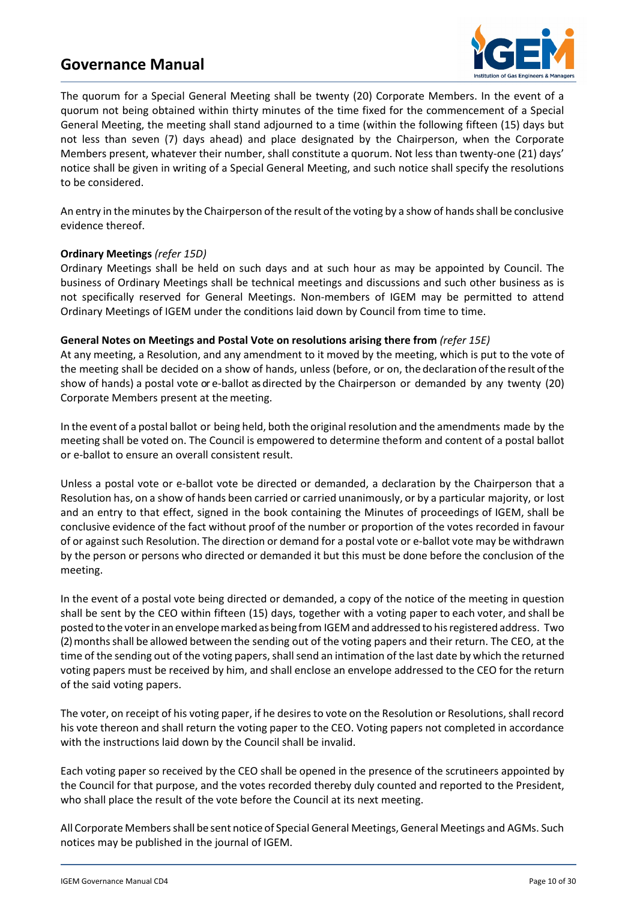

The quorum for a Special General Meeting shall be twenty (20) Corporate Members. In the event of a quorum not being obtained within thirty minutes of the time fixed for the commencement of a Special General Meeting, the meeting shall stand adjourned to a time (within the following fifteen (15) days but not less than seven (7) days ahead) and place designated by the Chairperson, when the Corporate Members present, whatever their number, shall constitute a quorum. Not less than twenty-one (21) days' notice shall be given in writing of a Special General Meeting, and such notice shall specify the resolutions to be considered.

An entry in the minutes by the Chairperson of the result of the voting by a show of hands shall be conclusive evidence thereof.

#### **Ordinary Meetings** *(refer 15D)*

Ordinary Meetings shall be held on such days and at such hour as may be appointed by Council. The business of Ordinary Meetings shall be technical meetings and discussions and such other business as is not specifically reserved for General Meetings. Non-members of IGEM may be permitted to attend Ordinary Meetings of IGEM under the conditions laid down by Council from time to time.

#### **General Notes on Meetings and Postal Vote on resolutions arising there from** *(refer 15E)*

At any meeting, a Resolution, and any amendment to it moved by the meeting, which is put to the vote of the meeting shall be decided on a show of hands, unless (before, or on, the declaration ofthe result ofthe show of hands) a postal vote or e-ballot as directed by the Chairperson or demanded by any twenty (20) Corporate Members present at the meeting.

In the event of a postal ballot or being held, both the original resolution and the amendments made by the meeting shall be voted on. The Council is empowered to determine theform and content of a postal ballot or e-ballot to ensure an overall consistent result.

Unless a postal vote or e-ballot vote be directed or demanded, a declaration by the Chairperson that a Resolution has, on a show of hands been carried or carried unanimously, or by a particular majority, or lost and an entry to that effect, signed in the book containing the Minutes of proceedings of IGEM, shall be conclusive evidence of the fact without proof of the number or proportion of the votes recorded in favour of or against such Resolution. The direction or demand for a postal vote or e-ballot vote may be withdrawn by the person or persons who directed or demanded it but this must be done before the conclusion of the meeting.

In the event of a postal vote being directed or demanded, a copy of the notice of the meeting in question shall be sent by the CEO within fifteen (15) days, together with a voting paper to each voter, and shall be posted to the voterin an envelopemarkedasbeing from IGEMand addressed to hisregistered address. Two (2) monthsshall be allowed between the sending out of the voting papers and their return. The CEO, at the time of the sending out of the voting papers, shall send an intimation of the last date by which the returned voting papers must be received by him, and shall enclose an envelope addressed to the CEO for the return of the said voting papers.

The voter, on receipt of his voting paper, if he desires to vote on the Resolution or Resolutions, shall record his vote thereon and shall return the voting paper to the CEO. Voting papers not completed in accordance with the instructions laid down by the Council shall be invalid.

Each voting paper so received by the CEO shall be opened in the presence of the scrutineers appointed by the Council for that purpose, and the votes recorded thereby duly counted and reported to the President, who shall place the result of the vote before the Council at its next meeting.

All Corporate Members shall be sent notice of Special General Meetings, General Meetings and AGMs. Such notices may be published in the journal of IGEM.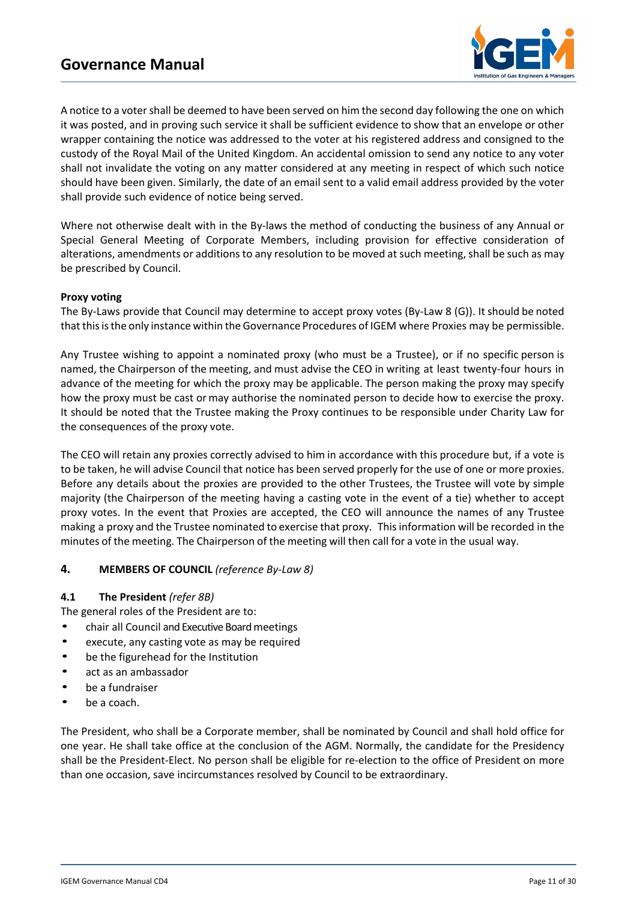

A notice to a voter shall be deemed to have been served on him the second day following the one on which it was posted, and in proving such service it shall be sufficient evidence to show that an envelope or other wrapper containing the notice was addressed to the voter at his registered address and consigned to the custody of the Royal Mail of the United Kingdom. An accidental omission to send any notice to any voter shall not invalidate the voting on any matter considered at any meeting in respect of which such notice should have been given. Similarly, the date of an email sent to a valid email address provided by the voter shall provide such evidence of notice being served.

Where not otherwise dealt with in the By-laws the method of conducting the business of any Annual or Special General Meeting of Corporate Members, including provision for effective consideration of alterations, amendments or additions to any resolution to be moved at such meeting, shall be such as may be prescribed by Council.

#### **Proxy voting**

The By-Laws provide that Council may determine to accept proxy votes (By-Law 8 (G)). It should be noted that thisisthe only instance within theGovernance Procedures of IGEM where Proxies may be permissible.

Any Trustee wishing to appoint a nominated proxy (who must be a Trustee), or if no specific person is named, the Chairperson of the meeting, and must advise the CEO in writing at least twenty-four hours in advance of the meeting for which the proxy may be applicable. The person making the proxy may specify how the proxy must be cast or may authorise the nominated person to decide how to exercise the proxy. It should be noted that the Trustee making the Proxy continues to be responsible under Charity Law for the consequences of the proxy vote.

The CEO will retain any proxies correctly advised to him in accordance with this procedure but, if a vote is to be taken, he will advise Council that notice has been served properly for the use of one or more proxies. Before any details about the proxies are provided to the other Trustees, the Trustee will vote by simple majority (the Chairperson of the meeting having a casting vote in the event of a tie) whether to accept proxy votes. In the event that Proxies are accepted, the CEO will announce the names of any Trustee making a proxy and the Trustee nominated to exercise that proxy. Thisinformation will be recorded in the minutes of the meeting. The Chairperson of the meeting will then call for a vote in the usual way.

#### **4. MEMBERS OF COUNCIL** *(reference By-Law 8)*

#### **4.1 The President** *(refer 8B)*

The general roles of the President are to:

- chair all Council and Executive Board meetings
- execute, any casting vote as may be required
- be the figurehead for the Institution
- act as an ambassador
- be a fundraiser
- be a coach.

The President, who shall be a Corporate member, shall be nominated by Council and shall hold office for one year. He shall take office at the conclusion of the AGM. Normally, the candidate for the Presidency shall be the President-Elect. No person shall be eligible for re-election to the office of President on more than one occasion, save incircumstances resolved by Council to be extraordinary.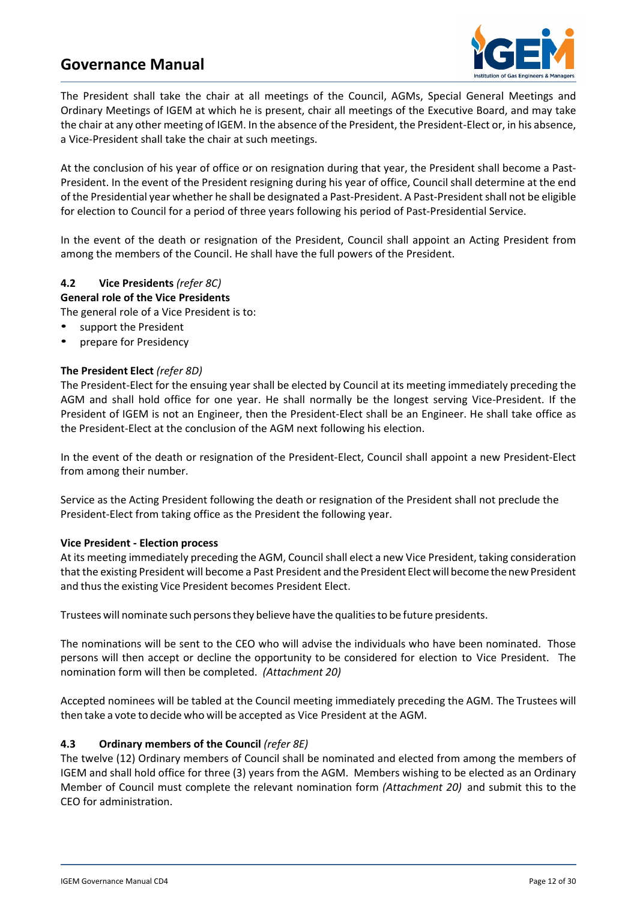

The President shall take the chair at all meetings of the Council, AGMs, Special General Meetings and Ordinary Meetings of IGEM at which he is present, chair all meetings of the Executive Board, and may take the chair at any other meeting of IGEM. In the absence of the President, the President-Elect or, in his absence, a Vice-President shall take the chair at such meetings.

At the conclusion of his year of office or on resignation during that year, the President shall become a Past-President. In the event of the President resigning during his year of office, Council shall determine at the end of the Presidential year whether he shall be designated a Past-President. A Past-President shall not be eligible for election to Council for a period of three years following his period of Past-Presidential Service.

In the event of the death or resignation of the President, Council shall appoint an Acting President from among the members of the Council. He shall have the full powers of the President.

# **4.2 Vice Presidents** *(refer 8C)*

**General role of the Vice Presidents**

The general role of a Vice President is to:

- support the President
- prepare for Presidency

#### **The President Elect** *(refer 8D)*

The President-Elect for the ensuing year shall be elected by Council at its meeting immediately preceding the AGM and shall hold office for one year. He shall normally be the longest serving Vice-President. If the President of IGEM is not an Engineer, then the President-Elect shall be an Engineer. He shall take office as the President-Elect at the conclusion of the AGM next following his election.

In the event of the death or resignation of the President-Elect, Council shall appoint a new President-Elect from among their number.

Service as the Acting President following the death or resignation of the President shall not preclude the President-Elect from taking office as the President the following year.

#### **Vice President - Election process**

At its meeting immediately preceding the AGM, Council shall elect a new Vice President, taking consideration that the existing President will become a Past President and the President Elect will become the new President and thus the existing Vice President becomes President Elect.

Trustees will nominate such personsthey believe have the qualitiesto be future presidents.

The nominations will be sent to the CEO who will advise the individuals who have been nominated. Those persons will then accept or decline the opportunity to be considered for election to Vice President. The nomination form will then be completed. *(Attachment 20)*

Accepted nominees will be tabled at the Council meeting immediately preceding the AGM. The Trustees will then take a vote to decide who will be accepted as Vice President at the AGM.

#### **4.3 Ordinary members of the Council** *(refer 8E)*

The twelve (12) Ordinary members of Council shall be nominated and elected from among the members of IGEM and shall hold office for three (3) years from the AGM. Members wishing to be elected as an Ordinary Member of Council must complete the relevant nomination form *(Attachment 20)* and submit this to the CEO for administration.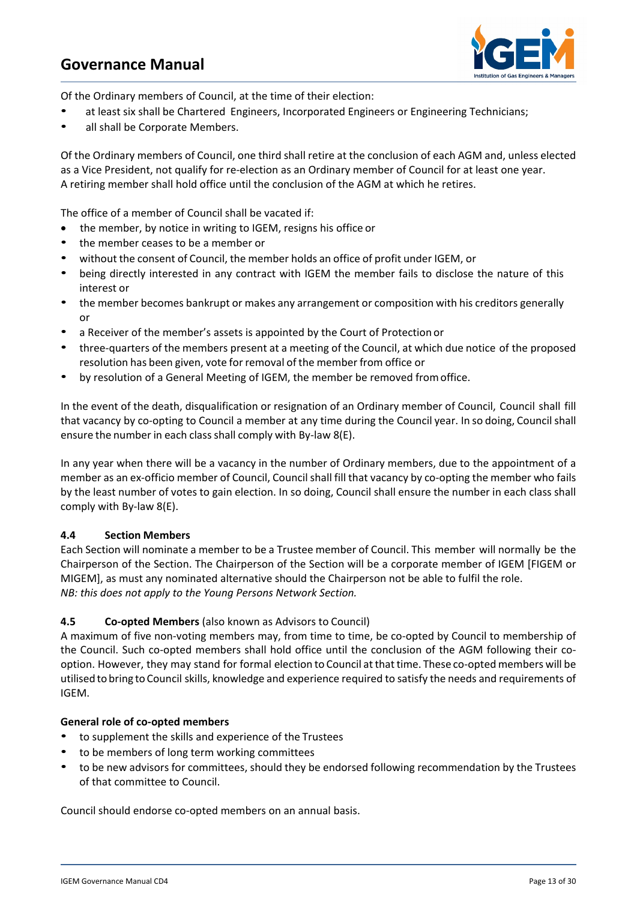

Of the Ordinary members of Council, at the time of their election:

- at least six shall be Chartered Engineers, Incorporated Engineers or Engineering Technicians;
- all shall be Corporate Members.

Of the Ordinary members of Council, one third shall retire at the conclusion of each AGM and, unless elected as a Vice President, not qualify for re-election as an Ordinary member of Council for at least one year. A retiring member shall hold office until the conclusion of the AGM at which he retires.

The office of a member of Council shall be vacated if:

- the member, by notice in writing to IGEM, resigns his office or
- the member ceases to be a member or
- without the consent of Council, the member holds an office of profit under IGEM, or
- being directly interested in any contract with IGEM the member fails to disclose the nature of this interest or
- the member becomes bankrupt or makes any arrangement or composition with his creditors generally or
- a Receiver of the member's assets is appointed by the Court of Protection or
- three-quarters of the members present at a meeting of the Council, at which due notice of the proposed resolution has been given, vote for removal of the member from office or
- by resolution of a General Meeting of IGEM, the member be removed fromoffice.

In the event of the death, disqualification or resignation of an Ordinary member of Council, Council shall fill that vacancy by co-opting to Council a member at any time during the Council year. In so doing, Councilshall ensure the number in each class shall comply with By-law 8(E).

In any year when there will be a vacancy in the number of Ordinary members, due to the appointment of a member as an ex-officio member of Council, Council shall fill that vacancy by co-opting the member who fails by the least number of votes to gain election. In so doing, Council shall ensure the number in each class shall comply with By-law 8(E).

#### **4.4 Section Members**

Each Section will nominate a member to be a Trustee member of Council. This member will normally be the Chairperson of the Section. The Chairperson of the Section will be a corporate member of IGEM [FIGEM or MIGEM], as must any nominated alternative should the Chairperson not be able to fulfil the role. *NB: this does not apply to the Young Persons Network Section.*

# **4.5 Co-opted Members** (also known as Advisors to Council)

A maximum of five non-voting members may, from time to time, be co-opted by Council to membership of the Council. Such co-opted members shall hold office until the conclusion of the AGM following their cooption. However, they may stand for formal election to Council atthattime. These co-opted members will be utilised to bring to Council skills, knowledge and experience required to satisfy the needs and requirements of IGEM.

#### **General role of co-opted members**

- to supplement the skills and experience of the Trustees
- to be members of long term working committees
- to be new advisors for committees, should they be endorsed following recommendation by the Trustees of that committee to Council.

Council should endorse co-opted members on an annual basis.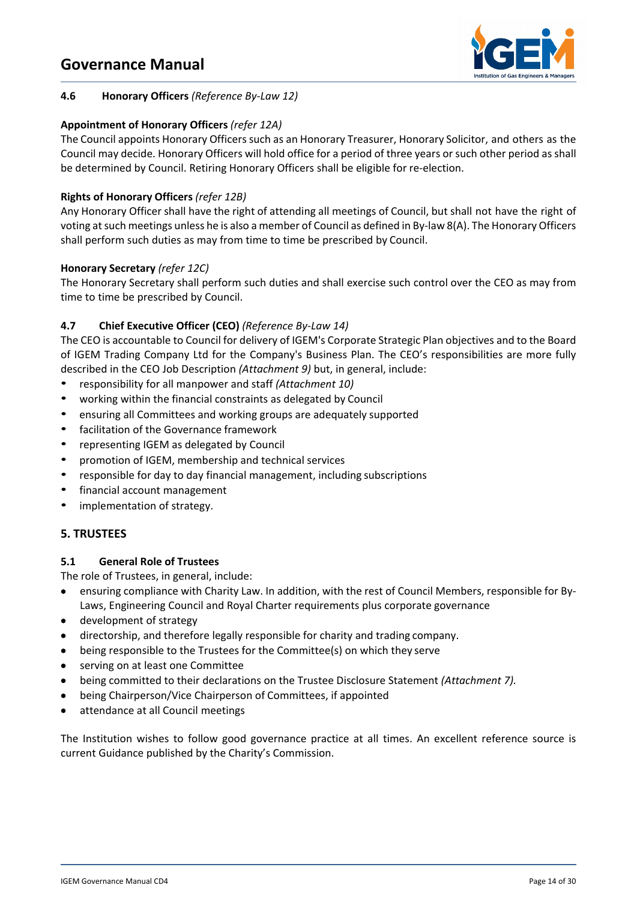

# **4.6 Honorary Officers** *(Reference By-Law 12)*

# **Appointment of Honorary Officers** *(refer 12A)*

The Council appoints Honorary Officers such as an Honorary Treasurer, Honorary Solicitor, and others as the Council may decide. Honorary Officers will hold office for a period of three years or such other period as shall be determined by Council. Retiring Honorary Officers shall be eligible for re-election.

# **Rights of Honorary Officers** *(refer 12B)*

Any Honorary Officer shall have the right of attending all meetings of Council, but shall not have the right of voting at such meetings unless he is also a member of Council as defined in By-law 8(A). The Honorary Officers shall perform such duties as may from time to time be prescribed by Council.

# **Honorary Secretary** *(refer 12C)*

The Honorary Secretary shall perform such duties and shall exercise such control over the CEO as may from time to time be prescribed by Council.

# **4.7 Chief Executive Officer (CEO)** *(Reference By-Law 14)*

The CEO is accountable to Council for delivery of IGEM's Corporate Strategic Plan objectives and to the Board of IGEM Trading Company Ltd for the Company's Business Plan. The CEO's responsibilities are more fully described in the CEO Job Description *(Attachment 9)* but, in general, include:

- responsibility for all manpower and staff *(Attachment 10)*
- working within the financial constraints as delegated by Council
- ensuring all Committees and working groups are adequately supported
- facilitation of the Governance framework
- representing IGEM as delegated by Council
- promotion of IGEM, membership and technical services
- responsible for day to day financial management, including subscriptions
- financial account management
- implementation of strategy.

# **5. TRUSTEES**

#### **5.1 General Role of Trustees**

The role of Trustees, in general, include:

- ensuring compliance with Charity Law. In addition, with the rest of Council Members, responsible for By-Laws, Engineering Council and Royal Charter requirements plus corporate governance
- development of strategy
- directorship, and therefore legally responsible for charity and trading company.
- being responsible to the Trustees for the Committee(s) on which they serve
- serving on at least one Committee
- being committed to their declarations on the Trustee Disclosure Statement *(Attachment 7).*
- being Chairperson/Vice Chairperson of Committees, if appointed
- attendance at all Council meetings

The Institution wishes to follow good governance practice at all times. An excellent reference source is current Guidance published by the Charity's Commission.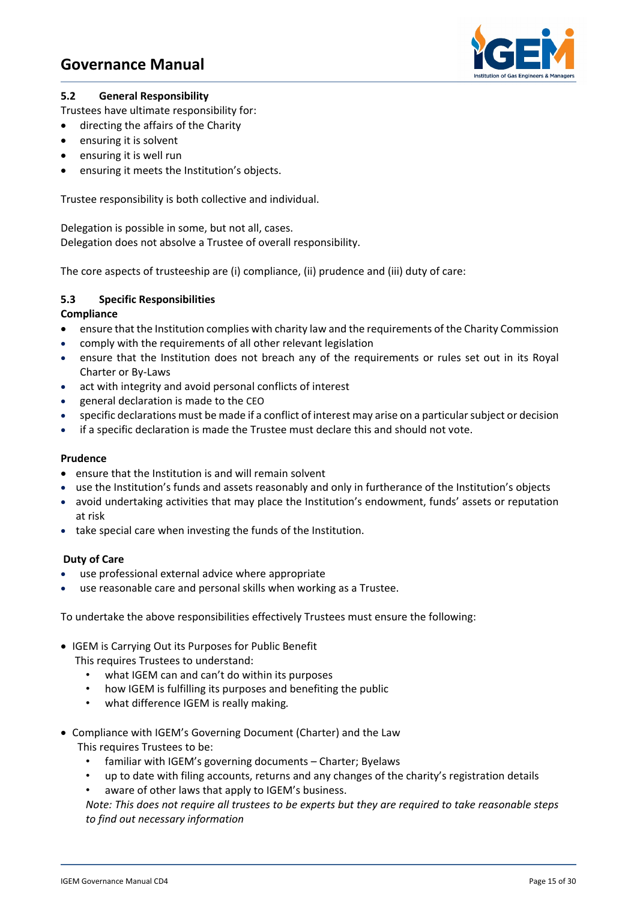

### **5.2 General Responsibility**

Trustees have ultimate responsibility for:

- directing the affairs of the Charity
- ensuring it is solvent
- ensuring it is well run
- ensuring it meets the Institution's objects.

Trustee responsibility is both collective and individual.

Delegation is possible in some, but not all, cases. Delegation does not absolve a Trustee of overall responsibility.

The core aspects of trusteeship are (i) compliance, (ii) prudence and (iii) duty of care:

# **5.3 Specific Responsibilities**

#### **Compliance**

- ensure that the Institution complies with charity law and the requirements of the Charity Commission
- comply with the requirements of all other relevant legislation
- ensure that the Institution does not breach any of the requirements or rules set out in its Royal Charter or By-Laws
- act with integrity and avoid personal conflicts of interest
- general declaration is made to the CEO
- specific declarations must be made if a conflict of interest may arise on a particular subject or decision
- if a specific declaration is made the Trustee must declare this and should not vote.

#### **Prudence**

- ensure that the Institution is and will remain solvent
- use the Institution's funds and assets reasonably and only in furtherance of the Institution's objects
- avoid undertaking activities that may place the Institution's endowment, funds' assets or reputation at risk
- take special care when investing the funds of the Institution.

# **Duty of Care**

- use professional external advice where appropriate
- use reasonable care and personal skills when working as a Trustee.

To undertake the above responsibilities effectively Trustees must ensure the following:

• IGEM is Carrying Out its Purposes for Public Benefit

This requires Trustees to understand:

- what IGEM can and can't do within its purposes
- how IGEM is fulfilling its purposes and benefiting the public
- what difference IGEM is really making*.*
- Compliance with IGEM's Governing Document (Charter) and the Law This requires Trustees to be:
	- familiar with IGEM's governing documents Charter; Byelaws
	- up to date with filing accounts, returns and any changes of the charity's registration details
	- aware of other laws that apply to IGEM's business.

*Note: This does not require all trustees to be experts but they are required to take reasonable steps to find out necessary information*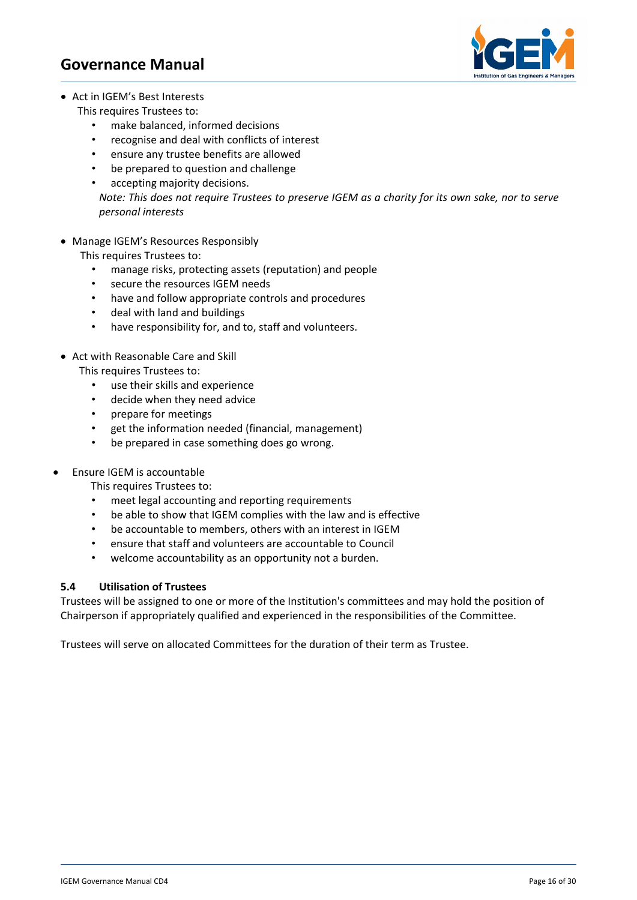

- Act in IGEM's Best Interests
	- This requires Trustees to:
		- make balanced, informed decisions
		- recognise and deal with conflicts of interest
		- ensure any trustee benefits are allowed
		- be prepared to question and challenge
		- accepting majority decisions.

 *Note: This does not require Trustees to preserve IGEM as a charity for its own sake, nor to serve personal interests*

• Manage IGEM's Resources Responsibly

This requires Trustees to:

- manage risks, protecting assets (reputation) and people
- secure the resources IGEM needs
- have and follow appropriate controls and procedures
- deal with land and buildings
- have responsibility for, and to, staff and volunteers.
- Act with Reasonable Care and Skill
	- This requires Trustees to:
		- use their skills and experience
		- decide when they need advice
		- prepare for meetings
		- get the information needed (financial, management)
		- be prepared in case something does go wrong.
- Ensure IGEM is accountable
	- This requires Trustees to:
	- meet legal accounting and reporting requirements
	- be able to show that IGEM complies with the law and is effective
	- be accountable to members, others with an interest in IGEM
	- ensure that staff and volunteers are accountable to Council
	- welcome accountability as an opportunity not a burden.

#### **5.4 Utilisation of Trustees**

Trustees will be assigned to one or more of the Institution's committees and may hold the position of Chairperson if appropriately qualified and experienced in the responsibilities of the Committee.

Trustees will serve on allocated Committees for the duration of their term as Trustee.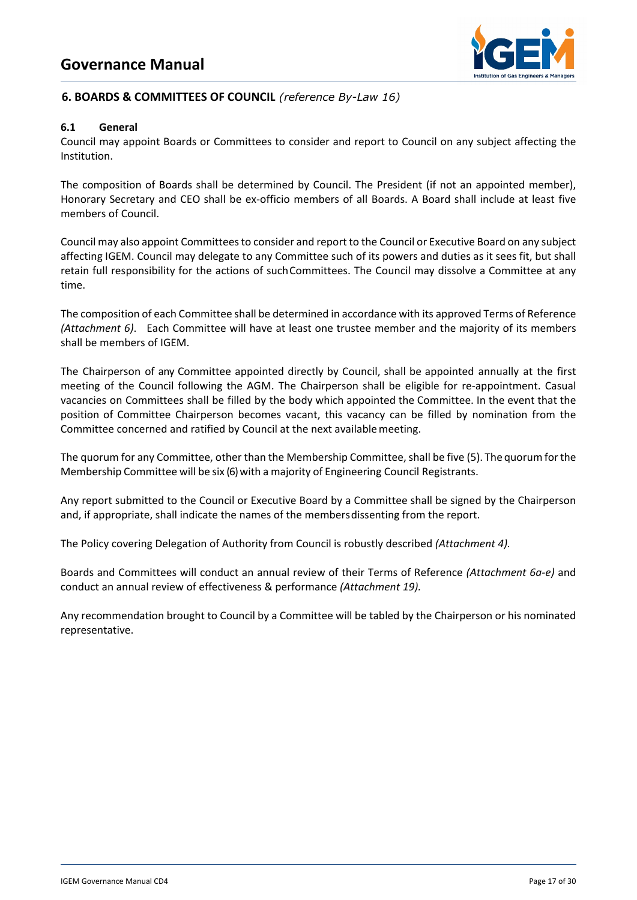

# **6. BOARDS & COMMITTEES OF COUNCIL** *(reference By-Law 16)*

#### **6.1 General**

Council may appoint Boards or Committees to consider and report to Council on any subject affecting the Institution.

The composition of Boards shall be determined by Council. The President (if not an appointed member), Honorary Secretary and CEO shall be ex-officio members of all Boards. A Board shall include at least five members of Council.

Council may also appoint Committees to consider and report to the Council or Executive Board on any subject affecting IGEM. Council may delegate to any Committee such of its powers and duties as it sees fit, but shall retain full responsibility for the actions of suchCommittees. The Council may dissolve a Committee at any time.

The composition of each Committee shall be determined in accordance with its approved Terms of Reference *(Attachment 6)*. Each Committee will have at least one trustee member and the majority of its members shall be members of IGEM.

The Chairperson of any Committee appointed directly by Council, shall be appointed annually at the first meeting of the Council following the AGM. The Chairperson shall be eligible for re-appointment. Casual vacancies on Committees shall be filled by the body which appointed the Committee. In the event that the position of Committee Chairperson becomes vacant, this vacancy can be filled by nomination from the Committee concerned and ratified by Council at the next availablemeeting.

The quorum for any Committee, other than the Membership Committee, shall be five (5). The quorumforthe Membership Committee will be six (6) with a majority of Engineering Council Registrants.

Any report submitted to the Council or Executive Board by a Committee shall be signed by the Chairperson and, if appropriate, shall indicate the names of the membersdissenting from the report.

The Policy covering Delegation of Authority from Council is robustly described *(Attachment 4).*

Boards and Committees will conduct an annual review of their Terms of Reference *(Attachment 6a-e)* and conduct an annual review of effectiveness & performance *(Attachment 19).* 

Any recommendation brought to Council by a Committee will be tabled by the Chairperson or his nominated representative.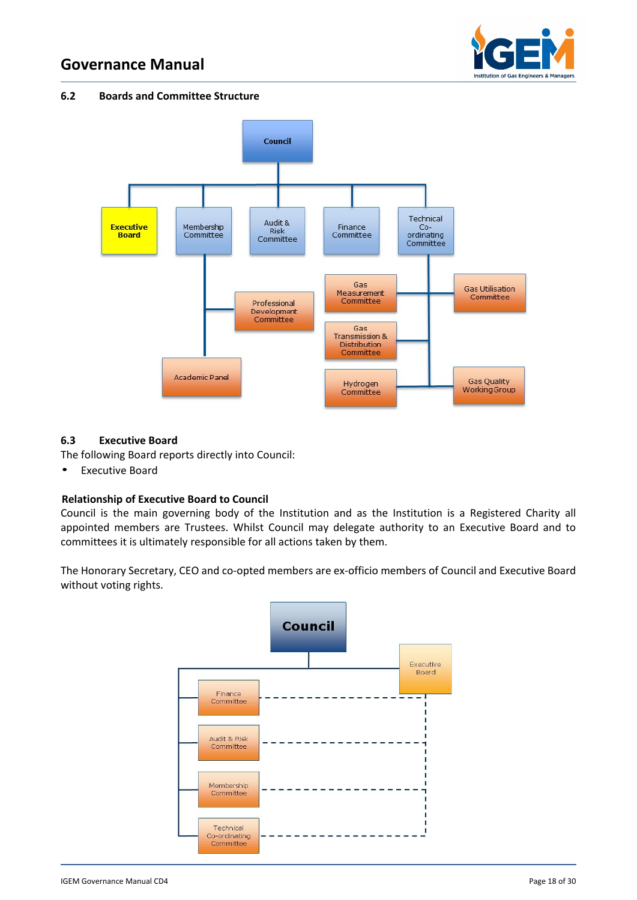

#### **6.2 Boards and Committee Structure**



#### **6.3 Executive Board**

The following Board reports directly into Council:

• Executive Board

# **Relationship of Executive Board to Council**

Council is the main governing body of the Institution and as the Institution is a Registered Charity all appointed members are Trustees. Whilst Council may delegate authority to an Executive Board and to committees it is ultimately responsible for all actions taken by them.

The Honorary Secretary, CEO and co-opted members are ex-officio members of Council and Executive Board without voting rights.

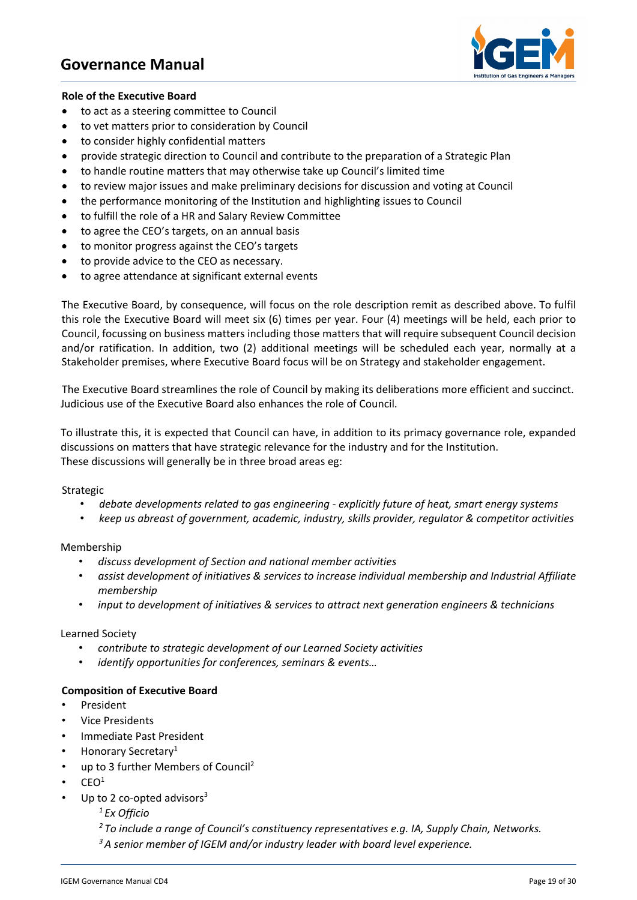

#### **Role of the Executive Board**

- to act as a steering committee to Council
- to vet matters prior to consideration by Council
- to consider highly confidential matters
- provide strategic direction to Council and contribute to the preparation of a Strategic Plan
- to handle routine matters that may otherwise take up Council's limited time
- to review major issues and make preliminary decisions for discussion and voting at Council
- the performance monitoring of the Institution and highlighting issues to Council
- to fulfill the role of a HR and Salary Review Committee
- to agree the CEO's targets, on an annual basis
- to monitor progress against the CEO's targets
- to provide advice to the CEO as necessary.
- to agree attendance at significant external events

The Executive Board, by consequence, will focus on the role description remit as described above. To fulfil this role the Executive Board will meet six (6) times per year. Four (4) meetings will be held, each prior to Council, focussing on business matters including those matters that will require subsequent Council decision and/or ratification. In addition, two (2) additional meetings will be scheduled each year, normally at a Stakeholder premises, where Executive Board focus will be on Strategy and stakeholder engagement.

The Executive Board streamlines the role of Council by making its deliberations more efficient and succinct. Judicious use of the Executive Board also enhances the role of Council.

To illustrate this, it is expected that Council can have, in addition to its primacy governance role, expanded discussions on matters that have strategic relevance for the industry and for the Institution. These discussions will generally be in three broad areas eg:

Strategic

- *debate developments related to gas engineering - explicitly future of heat, smart energy systems*
- *keep us abreast of government, academic, industry, skills provider, regulator & competitor activities*

Membership

- *discuss development of Section and national member activities*
- *assist development of initiatives & services to increase individual membership and Industrial Affiliate membership*
- *input to development of initiatives & services to attract next generation engineers & technicians*

Learned Society

- *contribute to strategic development of our Learned Society activities*
- *identify opportunities for conferences, seminars & events…*

#### **Composition of Executive Board**

- **President**
- Vice Presidents
- Immediate Past President
- Honorary Secretary<sup>1</sup>
- up to 3 further Members of Council<sup>2</sup>
- $CEO<sup>1</sup>$
- Up to 2 co-opted advisors $3$

*1 Ex Officio*

*2 To include a range of Council's constituency representatives e.g. IA, Supply Chain, Networks.*

*3 A senior member of IGEM and/or industry leader with board level experience.*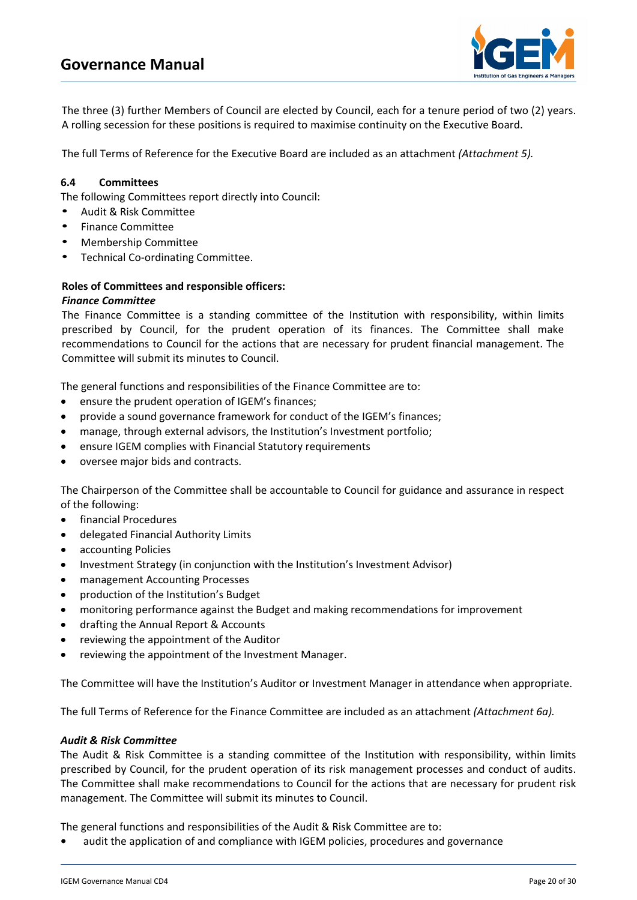

The three (3) further Members of Council are elected by Council, each for a tenure period of two (2) years. A rolling secession for these positions is required to maximise continuity on the Executive Board.

The full Terms of Reference for the Executive Board are included as an attachment *(Attachment 5).*

#### **6.4 Committees**

The following Committees report directly into Council:

- Audit & Risk Committee
- Finance Committee
- Membership Committee
- Technical Co-ordinating Committee.

#### **Roles of Committees and responsible officers:**

#### *Finance Committee*

The Finance Committee is a standing committee of the Institution with responsibility, within limits prescribed by Council, for the prudent operation of its finances. The Committee shall make recommendations to Council for the actions that are necessary for prudent financial management. The Committee will submit its minutes to Council.

The general functions and responsibilities of the Finance Committee are to:

- ensure the prudent operation of IGEM's finances;
- provide a sound governance framework for conduct of the IGEM's finances;
- manage, through external advisors, the Institution's Investment portfolio;
- ensure IGEM complies with Financial Statutory requirements
- oversee major bids and contracts.

The Chairperson of the Committee shall be accountable to Council for guidance and assurance in respect of the following:

- financial Procedures
- delegated Financial Authority Limits
- accounting Policies
- Investment Strategy (in conjunction with the Institution's Investment Advisor)
- management Accounting Processes
- production of the Institution's Budget
- monitoring performance against the Budget and making recommendations for improvement
- drafting the Annual Report & Accounts
- reviewing the appointment of the Auditor
- reviewing the appointment of the Investment Manager.

The Committee will have the Institution's Auditor or Investment Manager in attendance when appropriate.

The full Terms of Reference for the Finance Committee are included as an attachment *(Attachment 6a).*

#### *Audit & Risk Committee*

The Audit & Risk Committee is a standing committee of the Institution with responsibility, within limits prescribed by Council, for the prudent operation of its risk management processes and conduct of audits. The Committee shall make recommendations to Council for the actions that are necessary for prudent risk management. The Committee will submit its minutes to Council.

The general functions and responsibilities of the Audit & Risk Committee are to:

**•** audit the application of and compliance with IGEM policies, procedures and governance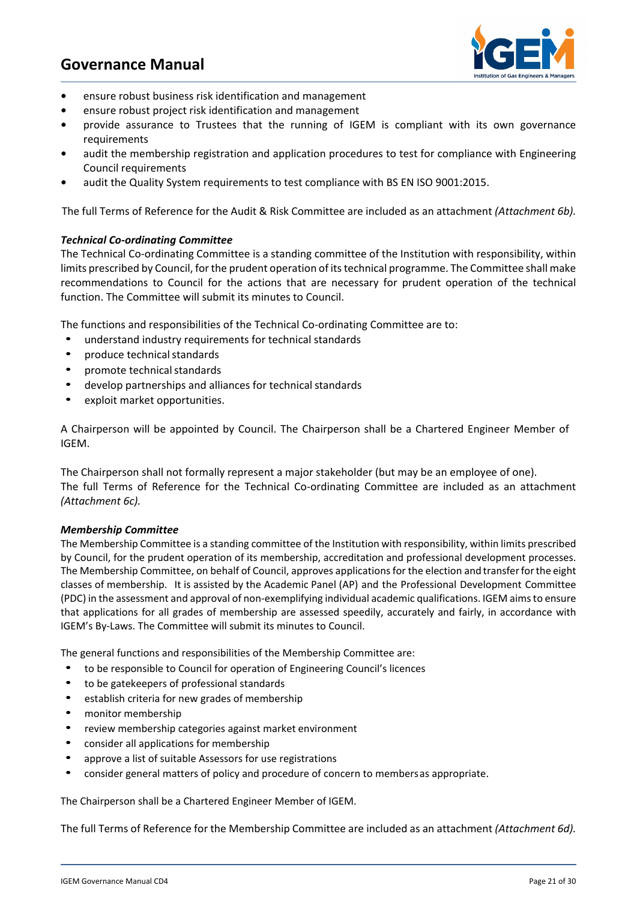

- **•** ensure robust business risk identification and management
- **•** ensure robust project risk identification and management
- **•** provide assurance to Trustees that the running of IGEM is compliant with its own governance requirements
- **•** audit the membership registration and application procedures to test for compliance with Engineering Council requirements
- **•** audit the Quality System requirements to test compliance with BS EN ISO 9001:2015.

The full Terms of Reference for the Audit & Risk Committee are included as an attachment *(Attachment 6b).*

#### *Technical Co-ordinating Committee*

The Technical Co-ordinating Committee is a standing committee of the Institution with responsibility, within limits prescribed by Council, for the prudent operation of its technical programme. The Committee shall make recommendations to Council for the actions that are necessary for prudent operation of the technical function. The Committee will submit its minutes to Council.

The functions and responsibilities of the Technical Co-ordinating Committee are to:

- understand industry requirements for technical standards
- produce technical standards
- promote technical standards
- develop partnerships and alliances for technical standards
- exploit market opportunities.

A Chairperson will be appointed by Council. The Chairperson shall be a Chartered Engineer Member of IGEM.

The Chairperson shall not formally represent a major stakeholder (but may be an employee of one). The full Terms of Reference for the Technical Co-ordinating Committee are included as an attachment *(Attachment 6c).*

#### *Membership Committee*

The Membership Committee is a standing committee of the Institution with responsibility, within limits prescribed by Council, for the prudent operation of its membership, accreditation and professional development processes. The Membership Committee, on behalf of Council, approves applications for the election and transferforthe eight classes of membership. It is assisted by the Academic Panel (AP) and the Professional Development Committee (PDC) in the assessment and approval of non-exemplifying individual academic qualifications. IGEM aims to ensure that applications for all grades of membership are assessed speedily, accurately and fairly, in accordance with IGEM's By-Laws. The Committee will submit its minutes to Council.

The general functions and responsibilities of the Membership Committee are:

- to be responsible to Council for operation of Engineering Council's licences
- to be gatekeepers of professional standards
- establish criteria for new grades of membership
- monitor membership
- review membership categories against market environment
- consider all applications for membership
- approve a list of suitable Assessors for use registrations
- consider general matters of policy and procedure of concern to membersas appropriate.

The Chairperson shall be a Chartered Engineer Member of IGEM.

The full Terms of Reference for the Membership Committee are included as an attachment *(Attachment 6d).*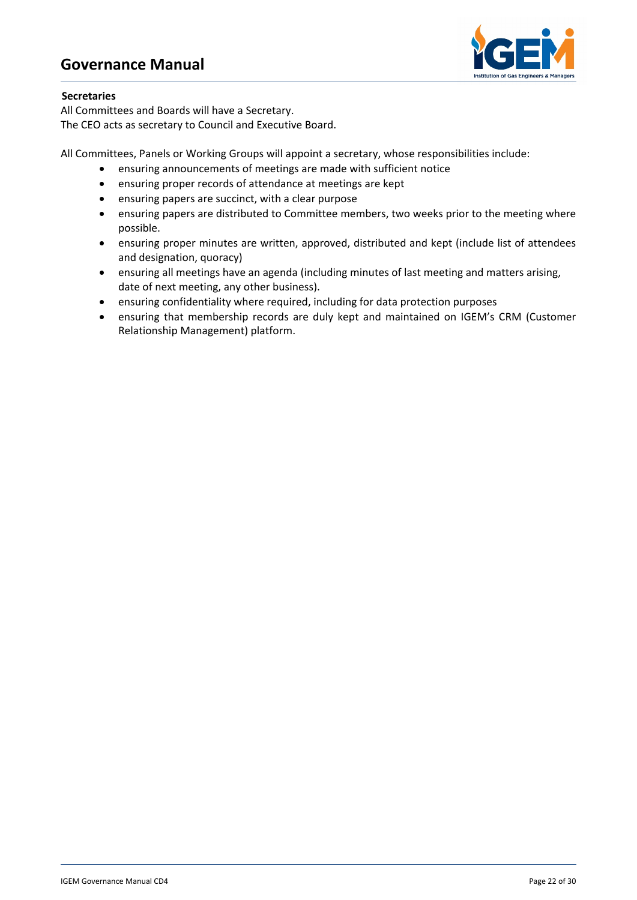

#### **Secretaries**

All Committees and Boards will have a Secretary. The CEO acts as secretary to Council and Executive Board.

All Committees, Panels or Working Groups will appoint a secretary, whose responsibilities include:

- ensuring announcements of meetings are made with sufficient notice
- ensuring proper records of attendance at meetings are kept
- ensuring papers are succinct, with a clear purpose
- ensuring papers are distributed to Committee members, two weeks prior to the meeting where possible.
- ensuring proper minutes are written, approved, distributed and kept (include list of attendees and designation, quoracy)
- ensuring all meetings have an agenda (including minutes of last meeting and matters arising, date of next meeting, any other business).
- ensuring confidentiality where required, including for data protection purposes
- ensuring that membership records are duly kept and maintained on IGEM's CRM (Customer Relationship Management) platform.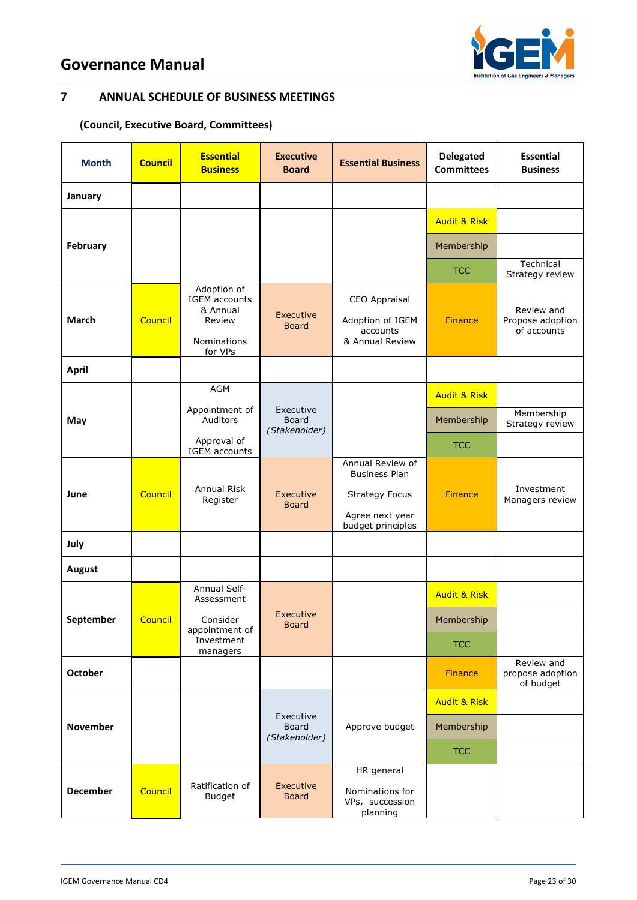

# **7 ANNUAL SCHEDULE OF BUSINESS MEETINGS**

# **(Council, Executive Board, Committees)**

| <b>Month</b>    | <b>Council</b> | <b>Essential</b><br><b>Business</b>                                                 | <b>Executive</b><br><b>Board</b>                                     | <b>Essential Business</b>                                                                                 | <b>Delegated</b><br><b>Committees</b> | <b>Essential</b><br><b>Business</b>           |
|-----------------|----------------|-------------------------------------------------------------------------------------|----------------------------------------------------------------------|-----------------------------------------------------------------------------------------------------------|---------------------------------------|-----------------------------------------------|
| January         |                |                                                                                     |                                                                      |                                                                                                           |                                       |                                               |
| February        |                |                                                                                     |                                                                      |                                                                                                           | <b>Audit &amp; Risk</b>               |                                               |
|                 |                |                                                                                     |                                                                      |                                                                                                           | Membership                            |                                               |
|                 |                |                                                                                     |                                                                      |                                                                                                           | <b>TCC</b>                            | Technical<br>Strategy review                  |
| March           | Council        | Adoption of<br><b>IGEM</b> accounts<br>& Annual<br>Review<br>Nominations<br>for VPs | Executive<br><b>Board</b>                                            | CEO Appraisal<br>Adoption of IGEM<br>accounts<br>& Annual Review                                          | <b>Finance</b>                        | Review and<br>Propose adoption<br>of accounts |
| <b>April</b>    |                |                                                                                     |                                                                      |                                                                                                           |                                       |                                               |
| May             |                | AGM                                                                                 |                                                                      |                                                                                                           | <b>Audit &amp; Risk</b>               |                                               |
|                 |                | Auditors                                                                            | Appointment of<br>Executive<br>Board<br>(Stakeholder)<br>Approval of |                                                                                                           | Membership                            | Membership<br>Strategy review                 |
|                 |                | IGEM accounts                                                                       |                                                                      |                                                                                                           | <b>TCC</b>                            |                                               |
| June            | Council        | Annual Risk<br>Register                                                             | Executive<br><b>Board</b>                                            | Annual Review of<br><b>Business Plan</b><br><b>Strategy Focus</b><br>Agree next year<br>budget principles | <b>Finance</b>                        | Investment<br>Managers review                 |
| July            |                |                                                                                     |                                                                      |                                                                                                           |                                       |                                               |
| <b>August</b>   |                |                                                                                     |                                                                      |                                                                                                           |                                       |                                               |
| September       | Council        | Annual Self-<br>Assessment                                                          | Executive<br><b>Board</b>                                            |                                                                                                           | <b>Audit &amp; Risk</b>               |                                               |
|                 |                | Consider<br>appointment of<br>Investment<br>managers                                |                                                                      |                                                                                                           | Membership                            |                                               |
|                 |                |                                                                                     |                                                                      |                                                                                                           | <b>TCC</b>                            |                                               |
| <b>October</b>  |                |                                                                                     |                                                                      |                                                                                                           | <b>Finance</b>                        | Review and<br>propose adoption<br>of budget   |
|                 |                |                                                                                     |                                                                      | Approve budget                                                                                            | <b>Audit &amp; Risk</b>               |                                               |
| <b>November</b> |                |                                                                                     | Executive<br>Board<br>(Stakeholder)                                  |                                                                                                           | Membership                            |                                               |
|                 |                |                                                                                     |                                                                      |                                                                                                           | <b>TCC</b>                            |                                               |
| <b>December</b> | Council        | Ratification of<br><b>Budget</b>                                                    | Executive<br><b>Board</b>                                            | HR general<br>Nominations for<br>VPs, succession<br>planning                                              |                                       |                                               |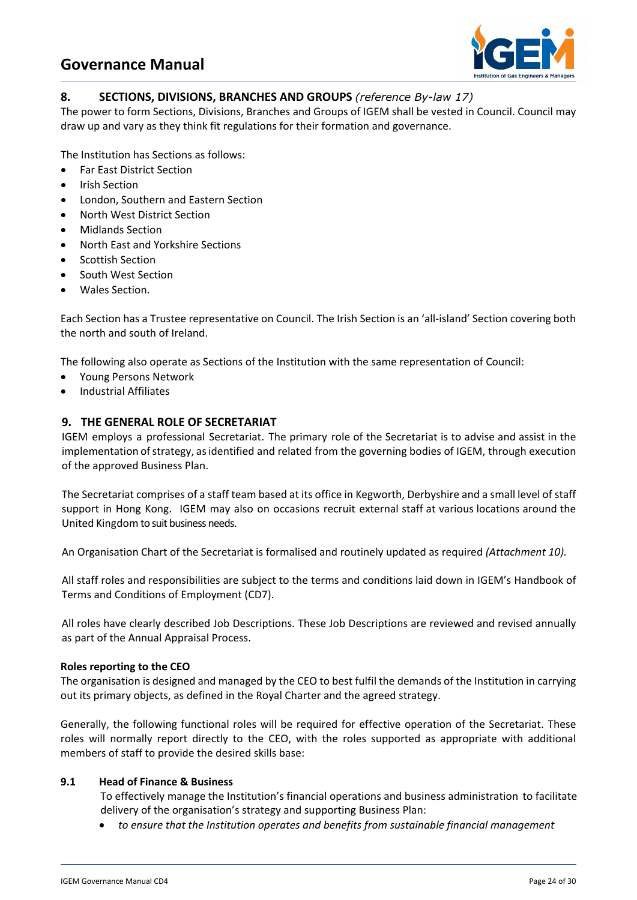

# **8. SECTIONS, DIVISIONS, BRANCHES AND GROUPS** *(reference By-law 17)*

The power to form Sections, Divisions, Branches and Groups of IGEM shall be vested in Council. Council may draw up and vary as they think fit regulations for their formation and governance.

The Institution has Sections as follows:

- Far East District Section
- Irish Section
- London, Southern and Eastern Section
- North West District Section
- Midlands Section
- North East and Yorkshire Sections
- Scottish Section
- South West Section
- Wales Section.

Each Section has a Trustee representative on Council. The Irish Section is an 'all-island' Section covering both the north and south of Ireland.

The following also operate as Sections of the Institution with the same representation of Council:

- Young Persons Network
- Industrial Affiliates

# **9. THE GENERAL ROLE OF SECRETARIAT**

IGEM employs a professional Secretariat. The primary role of the Secretariat is to advise and assist in the implementation of strategy, as identified and related from the governing bodies of IGEM, through execution of the approved Business Plan.

The Secretariat comprises of a staff team based at its office in Kegworth, Derbyshire and a small level of staff support in Hong Kong. IGEM may also on occasions recruit external staff at various locations around the United Kingdom to suit business needs.

An Organisation Chart of the Secretariat is formalised and routinely updated as required *(Attachment 10).*

All staff roles and responsibilities are subject to the terms and conditions laid down in IGEM's Handbook of Terms and Conditions of Employment (CD7).

All roles have clearly described Job Descriptions. These Job Descriptions are reviewed and revised annually as part of the Annual Appraisal Process.

#### **Roles reporting to the CEO**

The organisation is designed and managed by the CEO to best fulfil the demands of the Institution in carrying out its primary objects, as defined in the Royal Charter and the agreed strategy.

Generally, the following functional roles will be required for effective operation of the Secretariat. These roles will normally report directly to the CEO, with the roles supported as appropriate with additional members of staff to provide the desired skills base:

# **9.1 Head of Finance & Business**

 To effectively manage the Institution's financial operations and business administration to facilitate delivery of the organisation's strategy and supporting Business Plan:

• *to ensure that the Institution operates and benefits from sustainable financial management*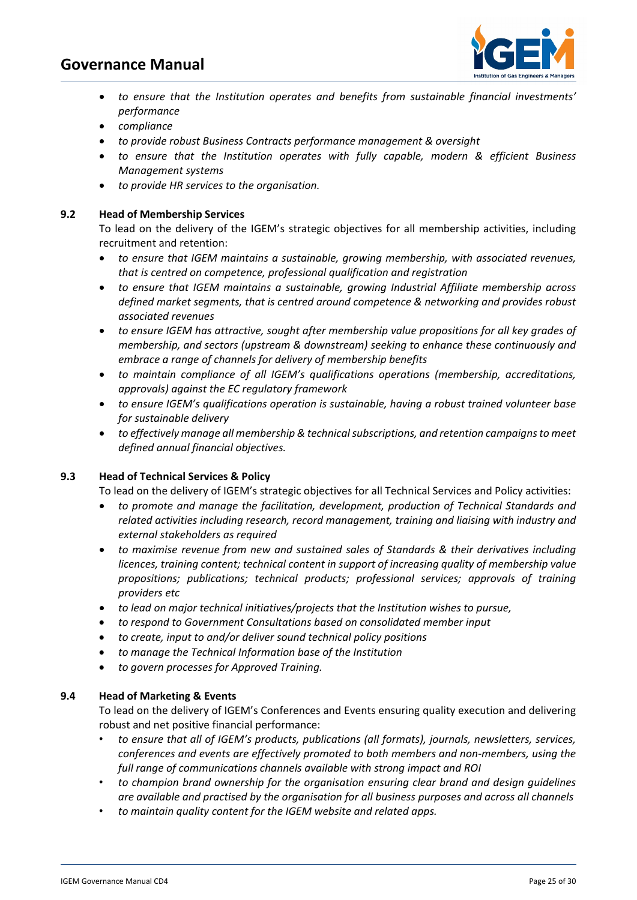

- to ensure that the Institution operates and benefits from sustainable financial investments' *performance*
- *compliance*
- *to provide robust Business Contracts performance management & oversight*
- *to ensure that the Institution operates with fully capable, modern & efficient Business Management systems*
- *to provide HR services to the organisation.*

#### **9.2 Head of Membership Services**

To lead on the delivery of the IGEM's strategic objectives for all membership activities, including recruitment and retention:

- *to ensure that IGEM maintains a sustainable, growing membership, with associated revenues, that is centred on competence, professional qualification and registration*
- *to ensure that IGEM maintains a sustainable, growing Industrial Affiliate membership across defined market segments, that is centred around competence & networking and provides robust associated revenues*
- *to ensure IGEM has attractive, sought after membership value propositions for all key grades of membership, and sectors (upstream & downstream) seeking to enhance these continuously and embrace a range of channels for delivery of membership benefits*
- *to maintain compliance of all IGEM's qualifications operations (membership, accreditations, approvals) against the EC regulatory framework*
- *to ensure IGEM's qualifications operation is sustainable, having a robust trained volunteer base for sustainable delivery*
- *to effectively manage all membership & technical subscriptions, and retention campaigns to meet defined annual financial objectives.*

#### **9.3 Head of Technical Services & Policy**

To lead on the delivery of IGEM's strategic objectives for all Technical Services and Policy activities:

- *to promote and manage the facilitation, development, production of Technical Standards and related activities including research, record management, training and liaising with industry and external stakeholders as required*
- *to maximise revenue from new and sustained sales of Standards & their derivatives including licences, training content; technical content in support of increasing quality of membership value propositions; publications; technical products; professional services; approvals of training providers etc*
- *to lead on major technical initiatives/projects that the Institution wishes to pursue,*
- *to respond to Government Consultations based on consolidated member input*
- *to create, input to and/or deliver sound technical policy positions*
- *to manage the Technical Information base of the Institution*
- *to govern processes for Approved Training.*

#### **9.4 Head of Marketing & Events**

To lead on the delivery of IGEM's Conferences and Events ensuring quality execution and delivering robust and net positive financial performance:

- *to ensure that all of IGEM's products, publications (all formats), journals, newsletters, services, conferences and events are effectively promoted to both members and non-members, using the full range of communications channels available with strong impact and ROI*
- *to champion brand ownership for the organisation ensuring clear brand and design guidelines are available and practised by the organisation for all business purposes and across all channels*
- *to maintain quality content for the IGEM website and related apps.*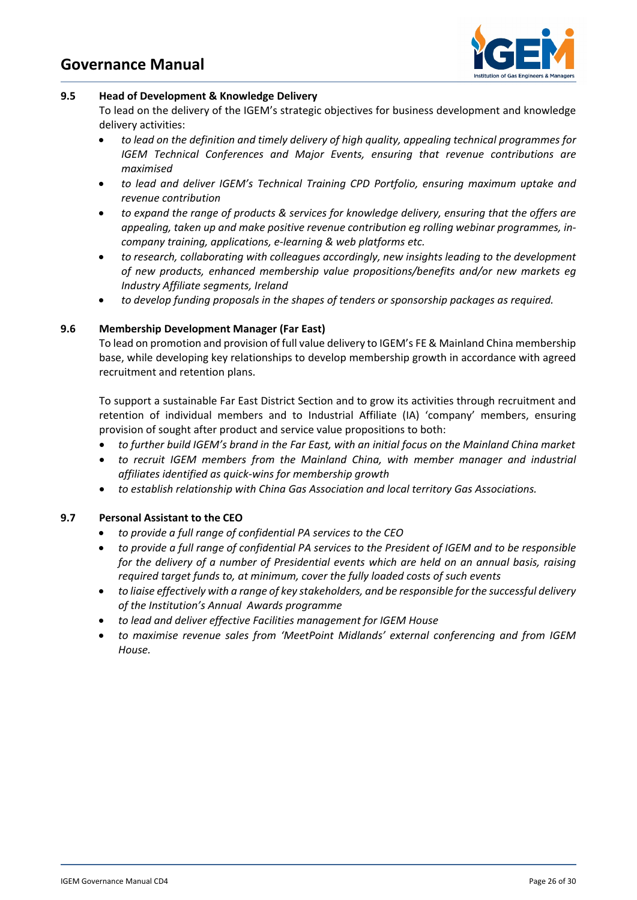

#### **9.5 Head of Development & Knowledge Delivery**

To lead on the delivery of the IGEM's strategic objectives for business development and knowledge delivery activities:

- *to lead on the definition and timely delivery of high quality, appealing technical programmes for IGEM Technical Conferences and Major Events, ensuring that revenue contributions are maximised*
- *to lead and deliver IGEM's Technical Training CPD Portfolio, ensuring maximum uptake and revenue contribution*
- *to expand the range of products & services for knowledge delivery, ensuring that the offers are appealing, taken up and make positive revenue contribution eg rolling webinar programmes, incompany training, applications, e-learning & web platforms etc.*
- *to research, collaborating with colleagues accordingly, new insights leading to the development of new products, enhanced membership value propositions/benefits and/or new markets eg Industry Affiliate segments, Ireland*
- *to develop funding proposals in the shapes of tenders or sponsorship packages as required.*

# **9.6 Membership Development Manager (Far East)**

To lead on promotion and provision of full value delivery to IGEM's FE & Mainland China membership base, while developing key relationships to develop membership growth in accordance with agreed recruitment and retention plans.

To support a sustainable Far East District Section and to grow its activities through recruitment and retention of individual members and to Industrial Affiliate (IA) 'company' members, ensuring provision of sought after product and service value propositions to both:

- *to further build IGEM's brand in the Far East, with an initial focus on the Mainland China market*
- *to recruit IGEM members from the Mainland China, with member manager and industrial affiliates identified as quick-wins for membership growth*
- *to establish relationship with China Gas Association and local territory Gas Associations.*

# **9.7 Personal Assistant to the CEO**

- *to provide a full range of confidential PA services to the CEO*
- *to provide a full range of confidential PA services to the President of IGEM and to be responsible for the delivery of a number of Presidential events which are held on an annual basis, raising required target funds to, at minimum, cover the fully loaded costs of such events*
- *to liaise effectively with a range of key stakeholders, and be responsible for the successful delivery of the Institution's Annual Awards programme*
- *to lead and deliver effective Facilities management for IGEM House*
- *to maximise revenue sales from 'MeetPoint Midlands' external conferencing and from IGEM House.*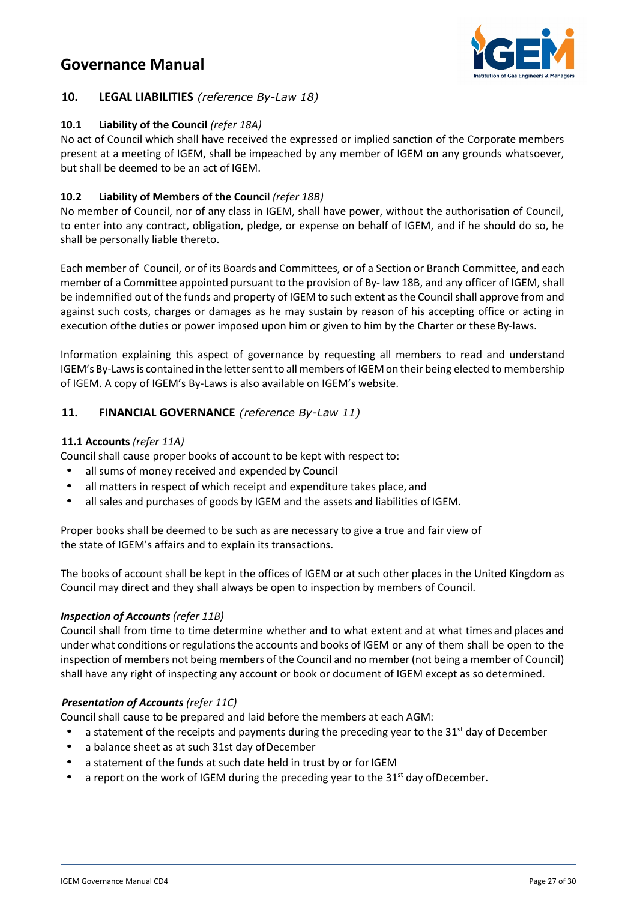

# **10. LEGAL LIABILITIES** *(reference By-Law 18)*

# **10.1 Liability of the Council** *(refer 18A)*

No act of Council which shall have received the expressed or implied sanction of the Corporate members present at a meeting of IGEM, shall be impeached by any member of IGEM on any grounds whatsoever, but shall be deemed to be an act of IGEM.

# **10.2 Liability of Members of the Council** *(refer 18B)*

No member of Council, nor of any class in IGEM, shall have power, without the authorisation of Council, to enter into any contract, obligation, pledge, or expense on behalf of IGEM, and if he should do so, he shall be personally liable thereto.

Each member of Council, or of its Boards and Committees, or of a Section or Branch Committee, and each member of a Committee appointed pursuant to the provision of By- law 18B, and any officer of IGEM, shall be indemnified out of the funds and property of IGEM to such extent as the Council shall approve from and against such costs, charges or damages as he may sustain by reason of his accepting office or acting in execution of the duties or power imposed upon him or given to him by the Charter or these By-laws.

Information explaining this aspect of governance by requesting all members to read and understand IGEM's By-Laws is contained in the letter sent to all members of IGEM on their being elected to membership of IGEM. A copy of IGEM's By-Laws is also available on IGEM's website.

# **11. FINANCIAL GOVERNANCE** *(reference By-Law 11)*

#### **11.1 Accounts** *(refer 11A)*

Council shall cause proper books of account to be kept with respect to:

- all sums of money received and expended by Council
- all matters in respect of which receipt and expenditure takes place, and
- all sales and purchases of goods by IGEM and the assets and liabilities of IGEM.

Proper books shall be deemed to be such as are necessary to give a true and fair view of the state of IGEM's affairs and to explain its transactions.

The books of account shall be kept in the offices of IGEM or at such other places in the United Kingdom as Council may direct and they shall always be open to inspection by members of Council.

# *Inspection of Accounts (refer 11B)*

Council shall from time to time determine whether and to what extent and at what times and places and under what conditions or regulations the accounts and books of IGEM or any of them shall be open to the inspection of members not being members of the Council and no member (not being a member of Council) shall have any right of inspecting any account or book or document of IGEM except as so determined.

#### *Presentation of Accounts (refer 11C)*

Council shall cause to be prepared and laid before the members at each AGM:

- a statement of the receipts and payments during the preceding year to the  $31<sup>st</sup>$  day of December
- a balance sheet as at such 31st day ofDecember
- a statement of the funds at such date held in trust by or for IGEM
- a report on the work of IGEM during the preceding year to the  $31<sup>st</sup>$  day of December.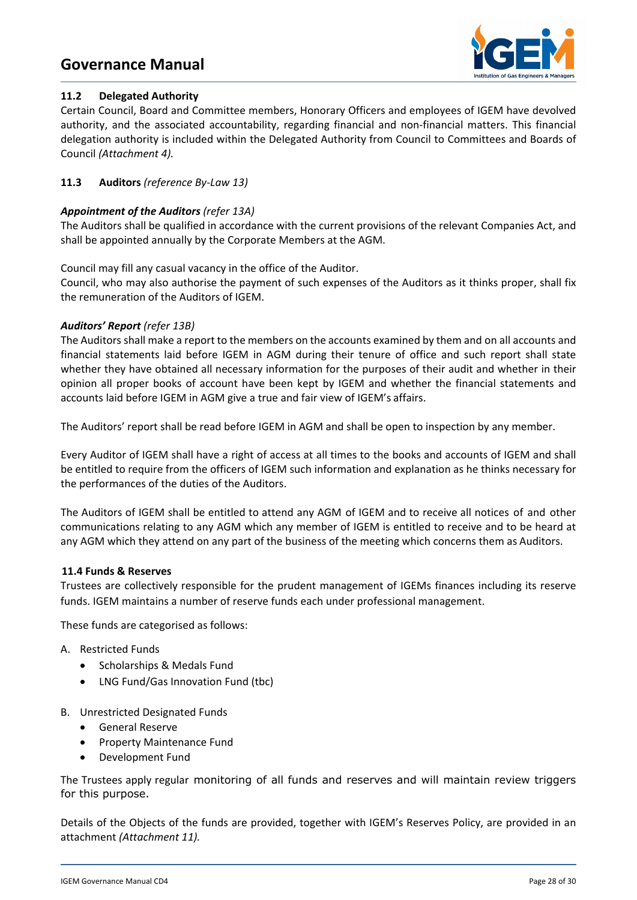

# **11.2 Delegated Authority**

Certain Council, Board and Committee members, Honorary Officers and employees of IGEM have devolved authority, and the associated accountability, regarding financial and non-financial matters. This financial delegation authority is included within the Delegated Authority from Council to Committees and Boards of Council *(Attachment 4).*

# **11.3 Auditors** *(reference By-Law 13)*

### *Appointment of the Auditors (refer 13A)*

The Auditors shall be qualified in accordance with the current provisions of the relevant Companies Act, and shall be appointed annually by the Corporate Members at the AGM.

Council may fill any casual vacancy in the office of the Auditor.

Council, who may also authorise the payment of such expenses of the Auditors as it thinks proper, shall fix the remuneration of the Auditors of IGEM.

#### *Auditors' Report (refer 13B)*

The Auditors shall make a report to the members on the accounts examined by them and on all accounts and financial statements laid before IGEM in AGM during their tenure of office and such report shall state whether they have obtained all necessary information for the purposes of their audit and whether in their opinion all proper books of account have been kept by IGEM and whether the financial statements and accounts laid before IGEM in AGM give a true and fair view of IGEM's affairs.

The Auditors' report shall be read before IGEM in AGM and shall be open to inspection by any member.

Every Auditor of IGEM shall have a right of access at all times to the books and accounts of IGEM and shall be entitled to require from the officers of IGEM such information and explanation as he thinks necessary for the performances of the duties of the Auditors.

The Auditors of IGEM shall be entitled to attend any AGM of IGEM and to receive all notices of and other communications relating to any AGM which any member of IGEM is entitled to receive and to be heard at any AGM which they attend on any part of the business of the meeting which concerns them as Auditors.

#### **11.4 Funds & Reserves**

Trustees are collectively responsible for the prudent management of IGEMs finances including its reserve funds. IGEM maintains a number of reserve funds each under professional management.

These funds are categorised as follows:\*

- A. Restricted Funds
	- Scholarships & Medals Fund
	- LNG Fund/Gas Innovation Fund (tbc)
- B. Unrestricted Designated Funds
	- General Reserve
	- Property Maintenance Fund
	- Development Fund

The Trustees apply regular monitoring of all funds and reserves and will maintain review triggers for this purpose.

Details of the Objects of the funds are provided, together with IGEM's Reserves Policy, are provided in an attachment *(Attachment 11).*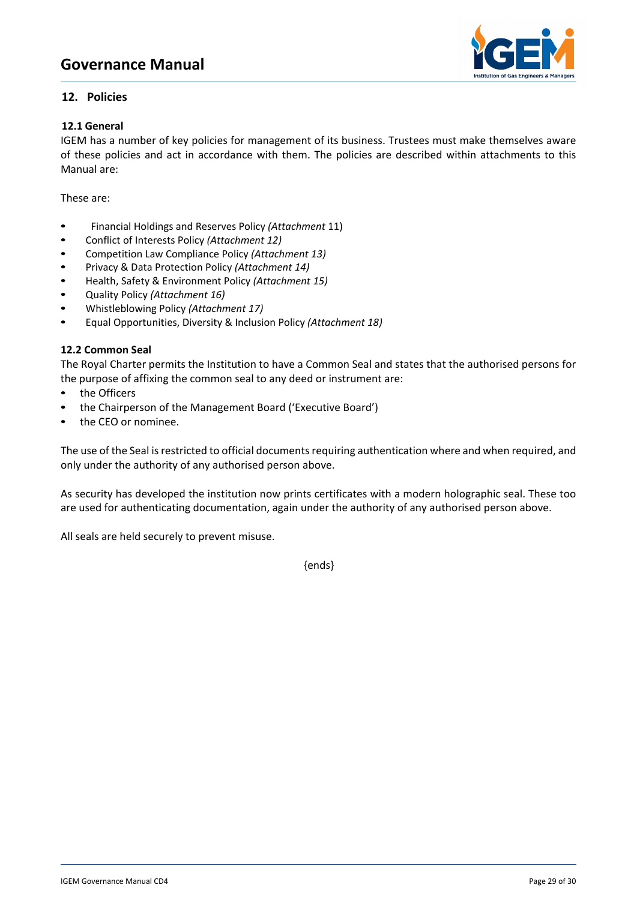

# **12. Policies**

# **12.1 General**

IGEM has a number of key policies for management of its business. Trustees must make themselves aware of these policies and act in accordance with them. The policies are described within attachments to this Manual are:

These are:

- **•** Financial Holdings and Reserves Policy *(Attachment* 11)
- **•** Conflict of Interests Policy *(Attachment 12)*
- **•** Competition Law Compliance Policy *(Attachment 13)*
- **•** Privacy & Data Protection Policy *(Attachment 14)*
- **•** Health, Safety & Environment Policy *(Attachment 15)*
- **•** Quality Policy *(Attachment 16)*
- **•** Whistleblowing Policy *(Attachment 17)*
- **•** Equal Opportunities, Diversity & Inclusion Policy *(Attachment 18)*

#### **12.2 Common Seal**

The Royal Charter permits the Institution to have a Common Seal and states that the authorised persons for the purpose of affixing the common seal to any deed or instrument are:

- **•** the Officers
- **•** the Chairperson of the Management Board ('Executive Board')
- **•** the CEO or nominee.

The use of the Seal is restricted to official documents requiring authentication where and when required, and only under the authority of any authorised person above.

As security has developed the institution now prints certificates with a modern holographic seal. These too are used for authenticating documentation, again under the authority of any authorised person above.

All seals are held securely to prevent misuse.

{ends}